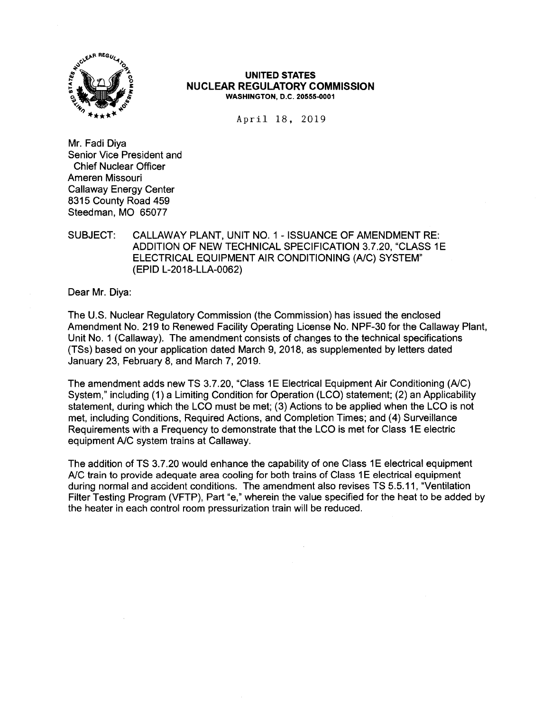

#### **UNITED STATES NUCLEAR REGULATORY COMMISSION WASHINGTON, D.C. 20555-0001**

April 18, 2019

Mr. Fadi Diya Senior Vice President and Chief Nuclear Officer Ameren Missouri Callaway Energy Center 8315 County Road 459 Steedman, MO 65077

## SUBJECT: CALLAWAY PLANT, UNIT NO. 1 - ISSUANCE OF AMENDMENT RE: ADDITION OF NEW TECHNICAL SPECIFICATION 3.7.20, "CLASS 1E ELECTRICAL EQUIPMENT AIR CONDITIONING (A/C) SYSTEM" (EPID L-2018-LLA-0062)

Dear Mr. Diya:

The U.S. Nuclear Regulatory Commission (the Commission) has issued the enclosed Amendment No. 219 to Renewed Facility Operating License No. NPF-30 for the Callaway Plant, Unit No. 1 (Callaway). The amendment consists of changes to the technical specifications (TSs) based on your application dated March 9, 2018, as supplemented by letters dated January 23, February 8, and March 7, 2019.

The amendment adds new TS 3.7.20, "Class 1E Electrical Equipment Air Conditioning (A/C) System," including (1) a Limiting Condition for Operation (LCO) statement; (2) an Applicability statement, during which the LCO must be met; (3) Actions to be applied when the LCO is not met, including Conditions, Required Actions, and Completion Times; and (4) Surveillance Requirements with a Frequency to demonstrate that the LCO is met for Class 1E electric equipment A/C system trains at Callaway.

The addition of TS 3.7.20 would enhance the capability of one Class 1E electrical equipment A/C train to provide adequate area cooling for both trains of Class 1E electrical equipment during normal and accident conditions. The amendment also revises TS 5.5.11, "Ventilation Filter Testing Program (VFTP), Part "e," wherein the value specified for the heat to be added by the heater in each control room pressurization train will be reduced.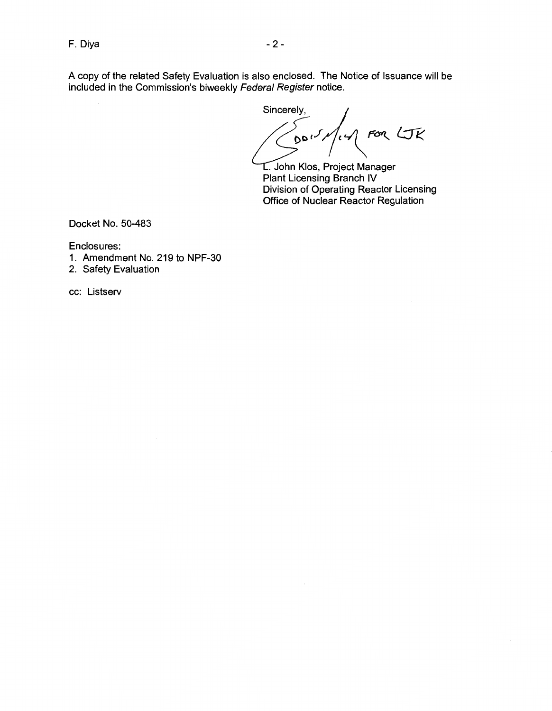A copy of the related Safety Evaluation is also enclosed. The Notice of Issuance will be included in the Commission's biweekly Federal Register notice.

Sincerely, **t)D** *,J* **1'** \ **Fi>'!\_** *t::fi:\_* 

. John Klos, Project Manager Plant Licensing Branch IV Division of Operating Reactor Licensing Office of Nuclear Reactor Regulation

Docket No. 50-483

Enclosures:

- 1. Amendment No. 219 to NPF-30
- 2. Safety Evaluation

cc: Listserv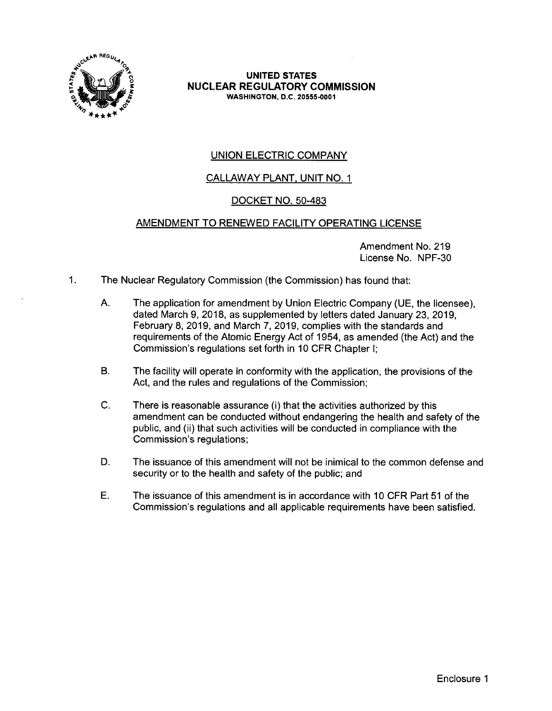

**UNITED STATES NUCLEAR REGULATORY COMMISSION WASHINGTON,** D.C. **20555-0001** 

# UNION ELECTRIC COMPANY

## CALLAWAY PLANT, UNIT NO. 1

## DOCKET NO. 50-483

## AMENDMENT TO RENEWED FACILITY OPERATING LICENSE

Amendment No. 219 License No. NPF-30

- 1. The Nuclear Regulatory Commission (the Commission) has found that:
	- A. The application for amendment by Union Electric Company (UE, the licensee), dated March 9, 2018, as supplemented by letters dated January 23, 2019, February 8, 2019, and March 7, 2019, complies with the standards and requirements of the Atomic Energy Act of 1954, as amended (the Act) and the Commission's regulations set forth in 10 CFR Chapter I;
	- B. The facility will operate in conformity with the application, the provisions of the Act, and the rules and regulations of the Commission;
	- C. There is reasonable assurance (i) that the activities authorized by this amendment can be conducted without endangering the health and safety of the public, and (ii) that such activities will be conducted in compliance with the Commission's regulations;
	- D. The issuance of this amendment will not be inimical to the common defense and security or to the health and safety of the public; and
	- E. The issuance of this amendment is in accordance with 10 CFR Part 51 of the Commission's regulations and all applicable requirements have been satisfied.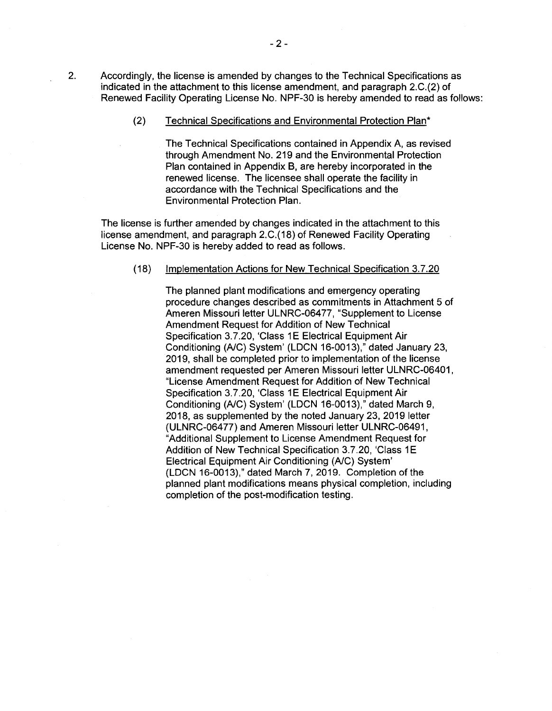2. Accordingly, the license is amended by changes to the Technical Specifications as indicated in the attachment to this license amendment, and paragraph 2.C.(2) of Renewed Facility Operating License No. NPF-30 is hereby amended to read as follows:

(2) Technical Specifications and Environmental Protection Plan\*

The Technical Specifications contained in Appendix A, as revised through Amendment No. 219 and the Environmental Protection Plan contained in Appendix B, are hereby incorporated in the renewed license. The licensee shall operate the facility in accordance with the Technical Specifications and the Environmental Protection Plan.

The license is further amended by changes indicated in the attachment to this license amendment, and paragraph 2.C.(18) of Renewed Facility Operating License No. NPF-30 is hereby added to read as follows.

#### (18) Implementation Actions for New Technical Specification 3.7.20

The planned plant modifications and emergency operating procedure changes described as commitments in Attachment 5 of Ameren Missouri letter ULNRC-06477, "Supplement to License Amendment Request for Addition of New Technical Specification 3.7.20, 'Class 1E Electrical Equipment Air Conditioning (A/C) System' (LDCN 16-0013)," dated January 23, 2019, shall be completed prior to implementation of the license amendment requested per Ameren Missouri letter ULNRC-06401, "License Amendment Request for Addition of New Technical Specification 3.7.20, 'Class 1E Electrical Equipment Air Conditioning (A/C) System' (LDCN 16-0013)," dated March 9, 2018, as supplemented by the noted January 23, 2019 letter (ULNRC-06477) and Ameren Missouri letter ULNRC-06491, "Additional Supplement to License Amendment Request for Addition of New Technical Specification 3.7.20, 'Class 1E Electrical Equipment Air Conditioning (A/C) System' (LDCN 16-0013)," dated March 7, 2019. Completion of the planned plant modifications means physical completion, including completion of the post-modification testing.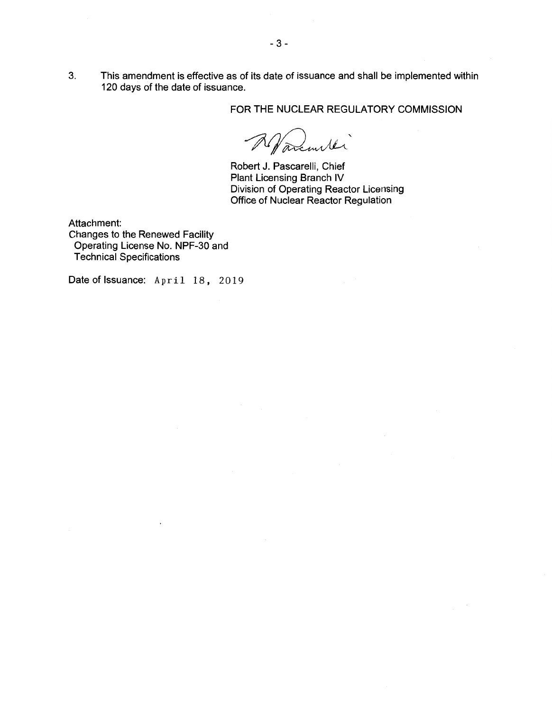3. This amendment is effective as of its date of issuance and shall be implemented within 120 days of the date of issuance.

FOR THE NUCLEAR REGULATORY COMMISSION

 $\mathcal{D}$ 2 Navementés

Robert J. Pascarelli, Chief Plant Licensing Branch IV Division of Operating Reactor Licensing Office of Nuclear Reactor Regulation

Attachment: Changes to the Renewed Facility Operating License No. NPF-30 and Technical Specifications

Date of Issuance: April 18, 2019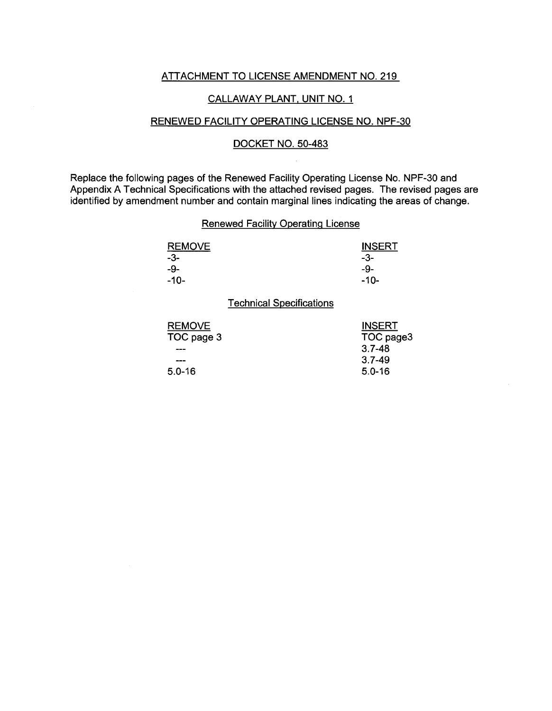#### ATTACHMENT TO LICENSE AMENDMENT NO. 219

## CALLAWAY PLANT, UNIT NO. 1

## RENEWED FACILITY OPERATING LICENSE NO. NPF-30

## DOCKET NO. 50-483

Replace the following pages of the Renewed Facility Operating License No. NPF-30 and Appendix A Technical Specifications with the attached revised pages. The revised pages are identified by amendment number and contain marginal lines indicating the areas of change.

## Renewed Facility Operating License

| <b>REMOVE</b> | <b>INSERT</b> |
|---------------|---------------|
| -3-           | -3-           |
| -9-           | -9-           |
| $-10-$        | -10-          |

Technical Specifications

| <b>INSERT</b> |
|---------------|
| TOC page3     |
| $3.7 - 48$    |
| $3.7 - 49$    |
| $5.0 - 16$    |
|               |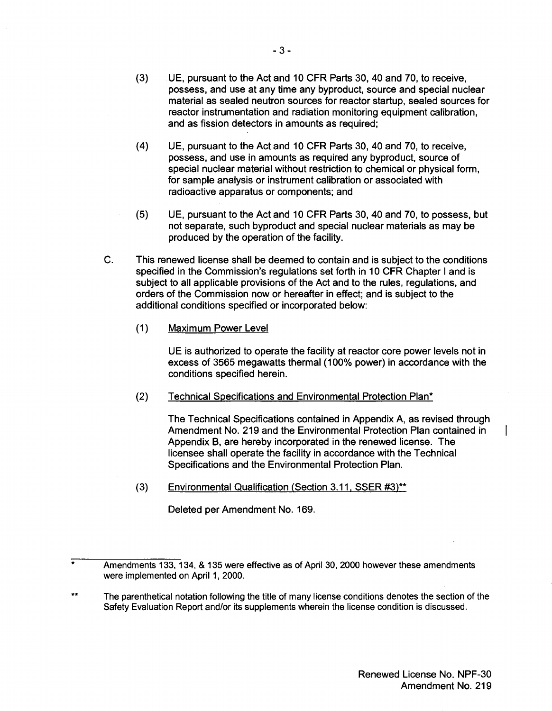- (3) UE, pursuant to the Act and 10 CFR Parts 30, 40 and 70, to receive, possess, and use at any time any byproduct, source and special nuclear material as sealed neutron sources for reactor startup, sealed sources for reactor instrumentation and radiation monitoring equipment calibration, and as fission detectors in amounts as required;
- (4) UE, pursuant to the Act and 10 CFR Parts 30, 40 and 70, to receive, possess, and use in amounts as required any byproduct, source of special nuclear material without restriction to chemical or physical form, for sample analysis or instrument calibration or associated with radioactive apparatus or components; and
- (5) UE, pursuant to the Act and 10 CFR Parts 30, 40 and 70, to possess, but not separate, such byproduct and special nuclear materials as may be produced by the operation of the facility.
- C. This renewed license shall be deemed to contain and is subject to the conditions specified in the Commission's regulations set forth in 10 CFR Chapter I and is subject to all applicable provisions of the Act and to the rules, regulations, and orders of the Commission now or hereafter in effect; and is subject to the additional conditions specified or incorporated below:
	- $(1)$ Maximum Power Level

UE is authorized to operate the facility at reactor core power levels not in excess of 3565 megawatts thermal (100% power) in accordance with the conditions specified herein.

(2) Technical Specifications and Environmental Protection Plan\*

> The Technical Specifications contained in Appendix A, as revised through Amendment No. 219 and the Environmental Protection Plan contained in Appendix B, are hereby incorporated in the renewed license. The licensee shall operate the facility in accordance with the Technical Specifications and the Environmental Protection Plan.

(3) Environmental Qualification (Section 3.11, SSER #3}\*\*

Deleted per Amendment No. 169.

T

<sup>\*</sup>  Amendments 133, 134, & 135 were effective as of April 30, 2000 however these amendments were implemented on April 1, 2000.

<sup>\*\*</sup>  The parenthetical notation following the title of many license conditions denotes the section of the Safety Evaluation Report and/or its supplements wherein the license condition is discussed.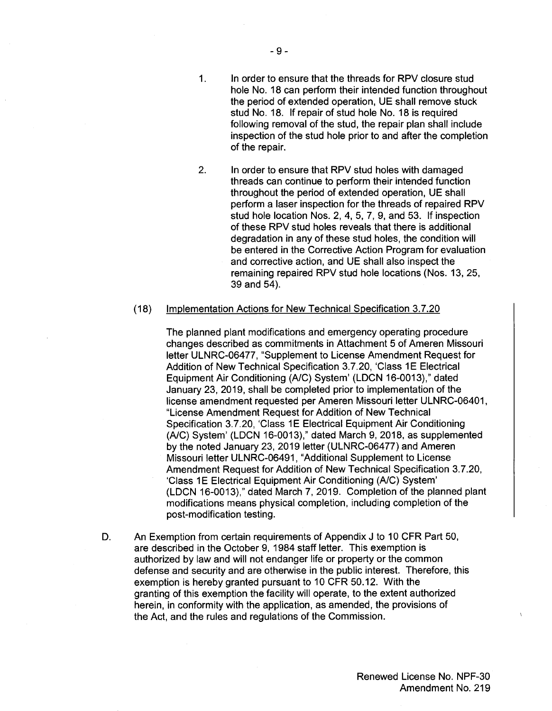inspection of the stud hole prior to and after the completion

2. In order to ensure that RPV stud holes with damaged threads can continue to perform their intended function throughout the period of extended operation, UE shall perform a laser inspection for the threads of repaired RPV stud hole location Nos. 2, 4, 5, 7, 9, and 53. If inspection of these RPV stud holes reveals that there is additional degradation in any of these stud holes, the condition will be entered in the Corrective Action Program for evaluation and corrective action, and UE shall also inspect the remaining repaired RPV stud hole locations (Nos. 13, 25, 39 and 54).

#### (18) Implementation Actions for New Technical Specification 3.7.20

The planned plant modifications and emergency operating procedure changes described as commitments in Attachment 5 of Ameren Missouri letter ULNRC-06477, "Supplement to License Amendment Request for Addition of New Technical Specification 3.7.20, 'Class 1E Electrical Equipment Air Conditioning (A/C) System' (LDCN 16-0013)," dated January 23, 2019, shall be completed prior to implementation of the license amendment requested per Ameren Missouri letter ULNRC-06401, "License Amendment Request for Addition of New Technical Specification 3.7.20, 'Class 1E Electrical Equipment Air Conditioning (A/C) System' (LDCN 16-0013)," dated March 9, 2018, as supplemented by the noted January 23, 2019 letter (ULNRC-06477) and Ameren Missouri letter ULNRC-06491, "Additional Supplement to License Amendment Request for Addition of New Technical Specification 3.7.20, 'Class 1E Electrical Equipment Air Conditioning (A/C) System' (LDCN 16-0013)," dated March 7, 2019. Completion of the planned plant modifications means physical completion, including completion of the post-modification testing.

D. An Exemption from certain requirements of Appendix J to 10 CFR Part 50, are described in the October 9, 1984 staff letter. This exemption is authorized by law and will not endanger life or property or the common defense and security and are otherwise in the public interest. Therefore, this exemption is hereby granted pursuant to 10 CFR 50.12. With the granting of this exemption the facility will operate, to the extent authorized herein, in conformity with the application, as amended, the provisions of the Act, and the rules and regulations of the Commission.

of the repair.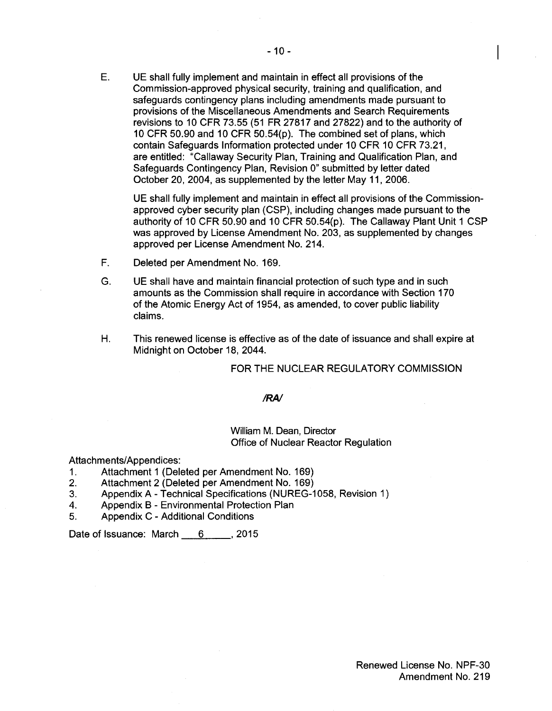E. UE shall fully implement and maintain in effect all provisions of the Commission-approved physical security, training and qualification, and safeguards contingency plans including amendments made pursuant to provisions of the Miscellaneous Amendments and Search Requirements revisions to 10 CFR 73.55 (51 FR 27817 and 27822) and to the authority of 10 CFR 50.90 and 10 CFR 50.54(p). The combined set of plans, which contain Safeguards Information protected under 10 CFR 10 CFR 73.21, are entitled: "Callaway Security Plan, Training and Qualification Plan, and Safeguards Contingency Plan, Revision O" submitted by letter dated October 20, 2004, as supplemented by the letter May 11, 2006.

UE shall fully implement and maintain in effect all provisions of the Commissionapproved cyber security plan (CSP), including changes made pursuant to the authority of 10 CFR 50.90 and 10 CFR 50.54(p). The Callaway Plant Unit 1 CSP was approved by License Amendment No. 203, as supplemented by changes approved per License Amendment No. 214.

- F. Deleted per Amendment No. 169.
- G. UE shall have and maintain financial protection of such type and in such amounts as the Commission shall require in accordance with Section 170 of the Atomic Energy Act of 1954, as amended, to cover public liability claims.
- H. This renewed license is effective as of the date of issuance and shall expire at Midnight on October 18, 2044.

## FOR THE NUCLEAR REGULATORY COMMISSION

#### *IRA/*

## William M. Dean, Director Office of Nuclear Reactor Regulation

#### Attachments/Appendices:

- 1. Attachment 1 (Deleted per Amendment No. 169)
- 2. Attachment 2 (Deleted per Amendment No. 169)
- 3. Appendix A Technical Specifications (NUREG-1058, Revision 1)
- 4. Appendix B Environmental Protection Plan
- 5. Appendix C Additional Conditions

Date of Issuance: March 6 \_\_\_\_\_, 2015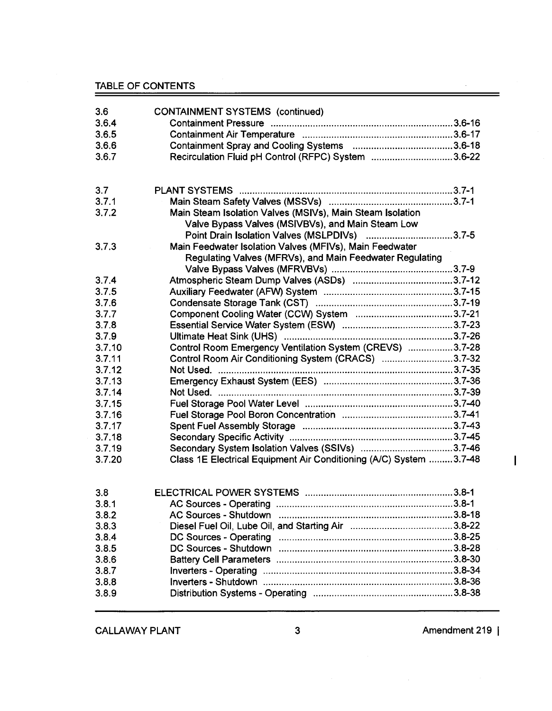TABLE OF CONTENTS

| 3.6    | <b>CONTAINMENT SYSTEMS (continued)</b>                             |  |
|--------|--------------------------------------------------------------------|--|
| 3.6.4  |                                                                    |  |
| 3.6.5  |                                                                    |  |
| 3.6.6  |                                                                    |  |
| 3.6.7  | Recirculation Fluid pH Control (RFPC) System 3.6-22                |  |
|        |                                                                    |  |
| 3.7    |                                                                    |  |
| 3.7.1  |                                                                    |  |
| 3.7.2  | Main Steam Isolation Valves (MSIVs), Main Steam Isolation          |  |
|        | Valve Bypass Valves (MSIVBVs), and Main Steam Low                  |  |
|        | Point Drain Isolation Valves (MSLPDIVs) 3.7-5                      |  |
| 3.7.3  | Main Feedwater Isolation Valves (MFIVs), Main Feedwater            |  |
|        | Regulating Valves (MFRVs), and Main Feedwater Regulating           |  |
|        |                                                                    |  |
| 3.7.4  |                                                                    |  |
| 3.7.5  |                                                                    |  |
| 3.7.6  |                                                                    |  |
| 3.7.7  |                                                                    |  |
| 3.7.8  |                                                                    |  |
| 3.7.9  |                                                                    |  |
| 3.7.10 | Control Room Emergency Ventilation System (CREVS) 3.7-28           |  |
| 3.7.11 | Control Room Air Conditioning System (CRACS) 3.7-32                |  |
| 3.7.12 | Not Used.                                                          |  |
| 3.7.13 |                                                                    |  |
| 3.7.14 |                                                                    |  |
| 3.7.15 |                                                                    |  |
| 3.7.16 |                                                                    |  |
| 3.7.17 |                                                                    |  |
| 3.7.18 |                                                                    |  |
| 3.7.19 |                                                                    |  |
| 3.7.20 | Class 1E Electrical Equipment Air Conditioning (A/C) System 3.7-48 |  |
|        |                                                                    |  |
| 3.8    |                                                                    |  |
| 3.8.1  |                                                                    |  |
| 3.8.2  |                                                                    |  |
| 3.8.3  |                                                                    |  |
| 3.8.4  |                                                                    |  |
| 3.8.5  |                                                                    |  |
| 3.8.6  |                                                                    |  |
| 3.8.7  |                                                                    |  |
| 3.8.8  |                                                                    |  |
| 3.8.9  |                                                                    |  |

CALLAWAY PLANT 3 3 Amendment 219 |

 $\sim$ 

 $\overline{1}$ 

=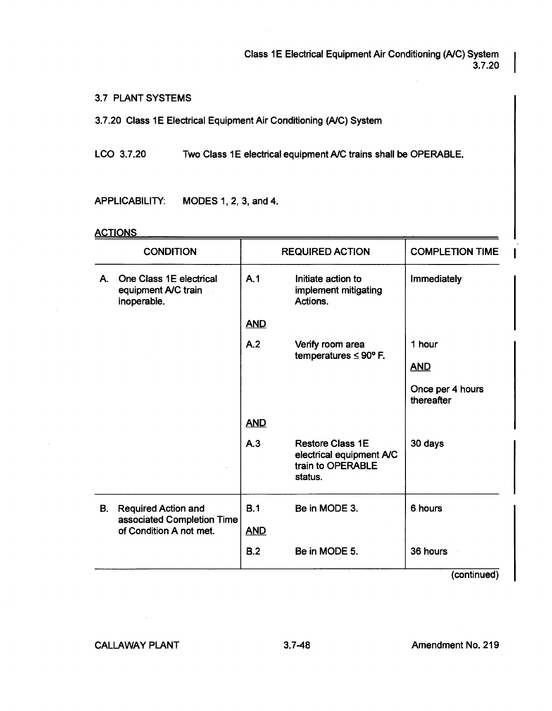Class 1E Electrical Equipment Air Conditioning (A/C) System 3.7.20

3.7 PLANT SYSTEMS

3.7.20 Class 1E Electrical Equipment Air Conditioning (A/C) System

LCO 3.7.20 Two Class 1E electrical equipment A/C trains shall be OPERABLE.

APPLICABILITY: MODES 1, 2, 3, and 4.

## **ACTIONS**

| One Class 1E electrical<br>A.1<br>Initiate action to<br>Immediately<br>Α.<br>implement mitigating<br>equipment A/C train<br>Actions.<br>inoperable.<br><b>AND</b><br>A.2<br>1 hour<br>Venfy room area<br>temperatures $\leq 90^{\circ}$ F.<br><b>AND</b><br>thereafter<br><b>AND</b><br>A.3<br><b>Restore Class 1E</b><br>30 days<br>electrical equipment A/C<br>train to OPERABLE<br>status.<br>B.1<br>Be in MODE 3.<br>6 hours<br>В.<br><b>Required Action and</b><br>associated Completion Time<br>of Condition A not met.<br><b>AND</b> | <b>CONDITION</b> | <b>REQUIRED ACTION</b> | <b>COMPLETION TIME</b> |
|---------------------------------------------------------------------------------------------------------------------------------------------------------------------------------------------------------------------------------------------------------------------------------------------------------------------------------------------------------------------------------------------------------------------------------------------------------------------------------------------------------------------------------------------|------------------|------------------------|------------------------|
|                                                                                                                                                                                                                                                                                                                                                                                                                                                                                                                                             |                  |                        |                        |
|                                                                                                                                                                                                                                                                                                                                                                                                                                                                                                                                             |                  |                        |                        |
|                                                                                                                                                                                                                                                                                                                                                                                                                                                                                                                                             |                  |                        |                        |
|                                                                                                                                                                                                                                                                                                                                                                                                                                                                                                                                             |                  |                        |                        |
|                                                                                                                                                                                                                                                                                                                                                                                                                                                                                                                                             |                  |                        | Once per 4 hours       |
|                                                                                                                                                                                                                                                                                                                                                                                                                                                                                                                                             |                  |                        |                        |
|                                                                                                                                                                                                                                                                                                                                                                                                                                                                                                                                             |                  |                        |                        |
|                                                                                                                                                                                                                                                                                                                                                                                                                                                                                                                                             |                  |                        |                        |
|                                                                                                                                                                                                                                                                                                                                                                                                                                                                                                                                             |                  |                        |                        |
| B.2<br>Be in MODE 5.<br>36 hours                                                                                                                                                                                                                                                                                                                                                                                                                                                                                                            |                  |                        |                        |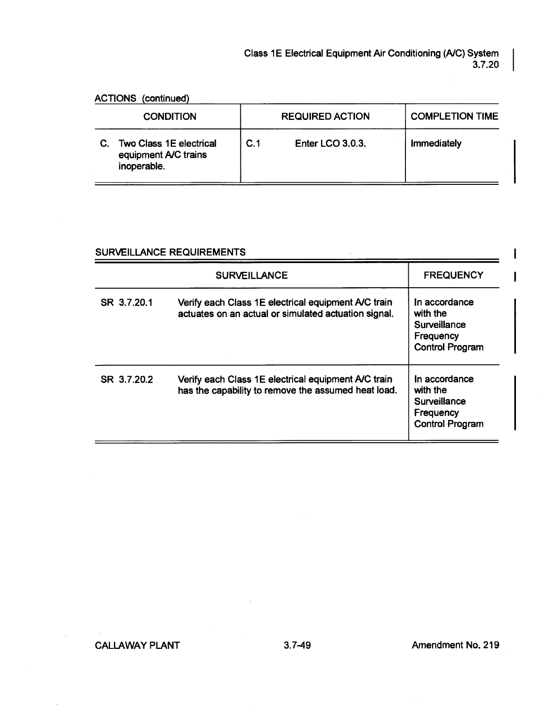ACTIONS (continued)

|    | <b>CONDITION</b>                                                      |     | <b>REQUIRED ACTION</b> | <b>COMPLETION TIME</b> |
|----|-----------------------------------------------------------------------|-----|------------------------|------------------------|
| C. | <b>Two Class 1E electrical</b><br>equipment A/C trains<br>inoperable. | C.1 | Enter LCO 3.0.3.       | <b>Immediately</b>     |

## SURVEILLANCE REQUIREMENTS

|             | <b>SURVEILLANCE</b>                                                                                         | <b>FREQUENCY</b>                                                                 |
|-------------|-------------------------------------------------------------------------------------------------------------|----------------------------------------------------------------------------------|
| SR 3.7.20.1 | Verify each Class 1E electrical equipment A/C train<br>actuates on an actual or simulated actuation signal. | In accordance<br>with the<br>Surveillance<br>Frequency<br><b>Control Program</b> |
| SR 3.7.20.2 | Verify each Class 1E electrical equipment A/C train<br>has the capability to remove the assumed heat load.  | In accordance<br>with the<br>Surveillance<br>Frequency<br><b>Control Program</b> |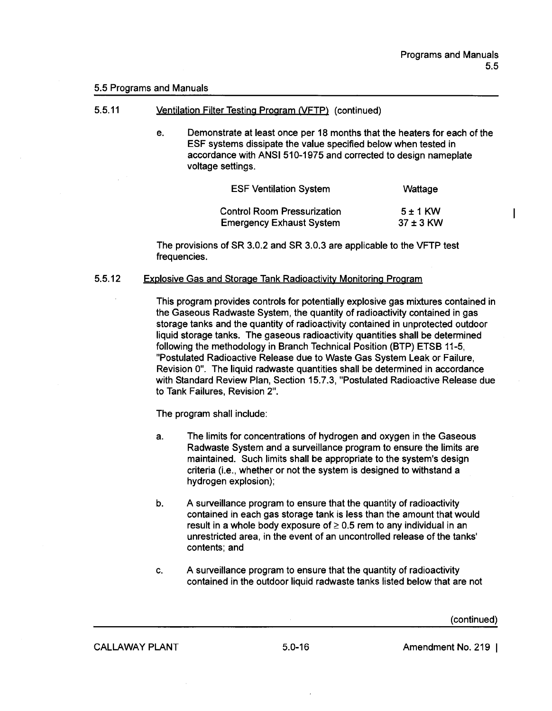$\mathbf{I}$ 

#### 5.5 Programs and Manuals

- 5.5.11 Ventilation Filter Testing Program NFTP} (continued)
	- e. Demonstrate at least once per 18 months that the heaters for each of the ESF systems dissipate the value specified below when tested in accordance with **ANSI** 510-1975 and corrected to design nameplate voltage settings.

| <b>ESF Ventilation System</b>      | Wattage       |
|------------------------------------|---------------|
| <b>Control Room Pressurization</b> | $5 + 1$ KW    |
| <b>Emergency Exhaust System</b>    | $37 \pm 3$ KW |

The provisions of SR 3.0.2 and SR 3.0.3 are applicable to the VFTP test frequencies.

#### 5.5.12 Explosive Gas and Storage Tank Radioactivity Monitoring Program

This program provides controls for potentially explosive gas mixtures contained in the Gaseous Radwaste System, the quantity of radioactivity contained in gas storage tanks and the quantity of radioactivity contained in unprotected outdoor liquid storage tanks. The gaseous radioactivity quantities shall be determined following the methodology in Branch Technical Position (BTP) ETSB 11-5, "Postulated Radioactive Release due to Waste Gas System Leak or Failure, Revision O". The liquid radwaste quantities shall be determined in accordance with Standard Review Plan, Section 15.7.3, "Postulated Radioactive Release due to Tank Failures, Revision 2".

The program shall include:

- a. The limits for concentrations of hydrogen and oxygen in the Gaseous Radwaste System and a surveillance program to ensure the limits are maintained. Such limits shall be appropriate to the system's design criteria (i.e., whether or not the system is designed to withstand a hydrogen explosion);
- b. A surveillance program to ensure that the quantity of radioactivity contained in each gas storage tank **is less** than the amount that would result in a whole body exposure of  $\geq 0.5$  rem to any individual in an unrestricted area, in the event of an uncontrolled release of the tanks' contents; and
- c. A surveillance program to ensure that the quantity of radioactivity contained in the outdoor liquid radwaste tanks listed below that are not

(continued)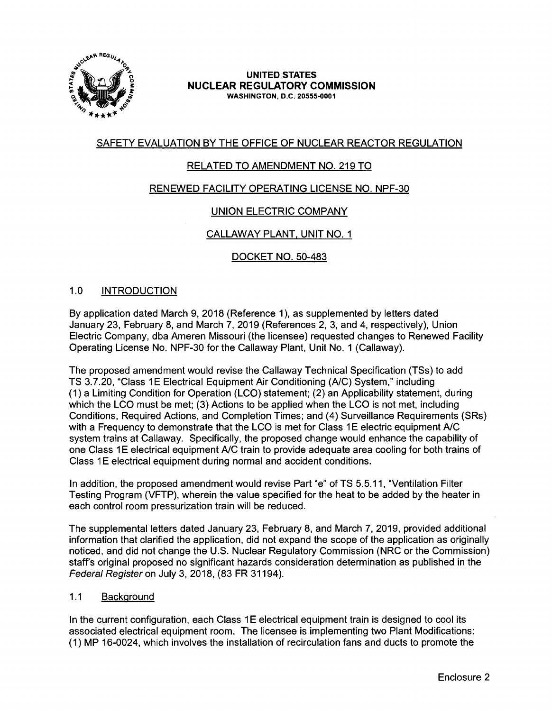

## **UNITED STATES NUCLEAR REGULATORY COMMISSION WASHINGTON,** D.C. **20555-0001**

# SAFETY EVALUATION BY THE OFFICE OF NUCLEAR REACTOR REGULATION

# RELATED TO AMENDMENT NO. 219 TO

# RENEWED FACILITY OPERATING LICENSE NO. NPF-30

# UNION ELECTRIC COMPANY

# CALLAWAY PLANT, UNIT NO. 1

# DOCKET NO. 50-483

## 1.0 INTRODUCTION

By application dated March 9, 2018 (Reference 1), as supplemented by letters dated January 23, February 8, and March 7, 2019 (References 2, 3, and 4, respectively), Union Electric Company, dba Ameren Missouri (the licensee) requested changes to Renewed Facility Operating License No. NPF-30 for the Callaway Plant, Unit No. 1 (Callaway).

The proposed amendment would revise the Callaway Technical Specification (TSs) to add TS 3.7.20, "Class 1E Electrical Equipment Air Conditioning (A/C) System," including (1) a Limiting Condition for Operation (LCO) statement; (2) an Applicability statement, during which the LCO must be met; (3) Actions to be applied when the LCO is not met, including Conditions, Required Actions, and Completion Times; and (4) Surveillance Requirements (SRs) with a Frequency to demonstrate that the LCO is met for Class 1E electric equipment A/C system trains at Callaway. Specifically, the proposed change would enhance the capability of one Class 1E electrical equipment A/C train to provide adequate area cooling for both trains of Class 1E electrical equipment during normal and accident conditions.

In addition, the proposed amendment would revise Part "e" of TS 5.5.11, "Ventilation Filter Testing Program (VFTP), wherein the value specified for the heat to be added by the heater in each control room pressurization train will be reduced.

The supplemental letters dated January 23, February 8, and March 7, 2019, provided additional information that clarified the application, did not expand the scope of the application as originally noticed, and did not change the U.S. Nuclear Regulatory Commission (NRC or the Commission) staff's original proposed no significant hazards consideration determination as published in the Federal Register on July 3, 2018, (83 FR 31194).

## 1.1 Background

In the current configuration, each Class 1E electrical equipment train is designed to cool its associated electrical equipment room. The licensee is implementing two Plant Modifications: (1) MP 16-0024, which involves the installation of recirculation fans and ducts to promote the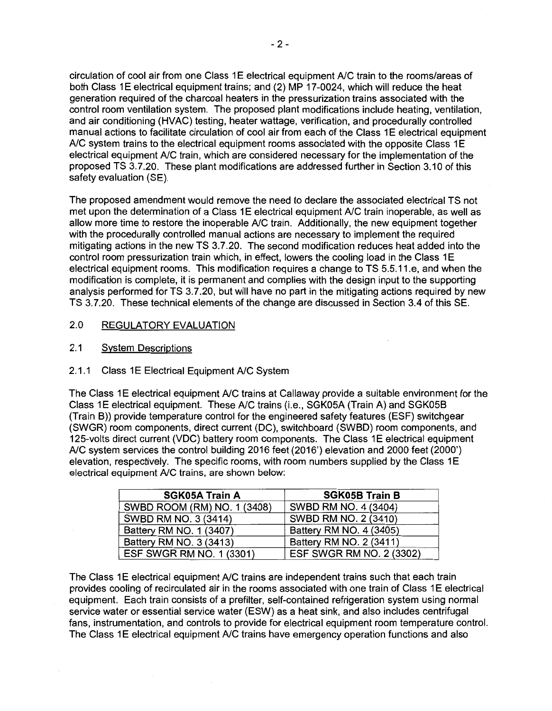circulation of cool air from one Class 1E electrical equipment A/C train to the rooms/areas of both Class 1E electrical equipment trains; and (2) MP 17-0024, which will reduce the heat generation required of the charcoal heaters in the pressurization trains associated with the control room ventilation system. The proposed plant modifications include heating, ventilation, and air conditioning (HVAC) testing, heater wattage, verification, and procedurally controlled manual actions to facilitate circulation of cool air from each of the Class 1E electrical equipment A/C system trains to the electrical equipment rooms associated with the opposite Class 1E electrical equipment A/C train, which are considered necessary for the implementation of the proposed TS 3. 7.20. These plant modifications are addressed further in Section 3.10 of this safety evaluation (SE).

The proposed amendment would remove the need to declare the associated electrical TS not met upon the determination of a Class 1E electrical equipment A/C train inoperable, as well as allow more time to restore the inoperable A/C train. Additionally, the new equipment together with the procedurally controlled manual actions are necessary to implement the required mitigating actions in the new TS 3.7.20. The second modification reduces heat added into the control room pressurization train which, in effect, lowers the cooling load in the Class 1E electrical equipment rooms. This modification requires a change to TS 5.5.11.e, and when the modification is complete, it is permanent and complies with the design input to the supporting analysis performed for TS 3.7.20, but will have no part in the mitigating actions required by new TS 3.7.20. These technical elements of the change are discussed in Section 3.4 of this SE.

## 2.0 REGULATORY EVALUATION

2.1 System Descriptions

## 2.1.1 Class 1E Electrical Equipment A/C System

The Class 1E electrical equipment A/C trains at Callaway provide a suitable environment for the Class 1E electrical equipment. These A/C trains (i.e., SGK05A (Train A) and SGK05B (Train B)) provide temperature control for the engineered safety features (ESF) switchgear (SWGR) room components, direct current (DC), switchboard (SWBD) room components, and 125-volts direct current (VDC) battery room components. The Class 1E electrical equipment A/C system services the control building 2016 feet (2016') elevation and 2000 feet (2000') elevation, respectively. The specific rooms, with room numbers supplied by the Class 1E electrical equipment A/C trains, are shown below:

| <b>SGK05A Train A</b>       | <b>SGK05B Train B</b>    |
|-----------------------------|--------------------------|
| SWBD ROOM (RM) NO. 1 (3408) | SWBD RM NO. 4 (3404)     |
| SWBD RM NO. 3 (3414)        | SWBD RM NO. 2 (3410)     |
| Battery RM NO. 1 (3407)     | Battery RM NO. 4 (3405)  |
| Battery RM NO. 3 (3413)     | Battery RM NO. 2 (3411)  |
| ESF SWGR RM NO. 1 (3301)    | ESF SWGR RM NO. 2 (3302) |

The Class 1E electrical equipment A/C trains are independent trains such that each train provides cooling of recirculated air in the rooms associated with one train of Class 1E electrical equipment. Each train consists of a prefilter, self-contained refrigeration system using normal service water or essential service water (ESW) as a heat sink, and also includes centrifugal fans, instrumentation, and controls to provide for electrical equipment room temperature control. The Class 1E electrical equipment A/C trains have emergency operation functions and also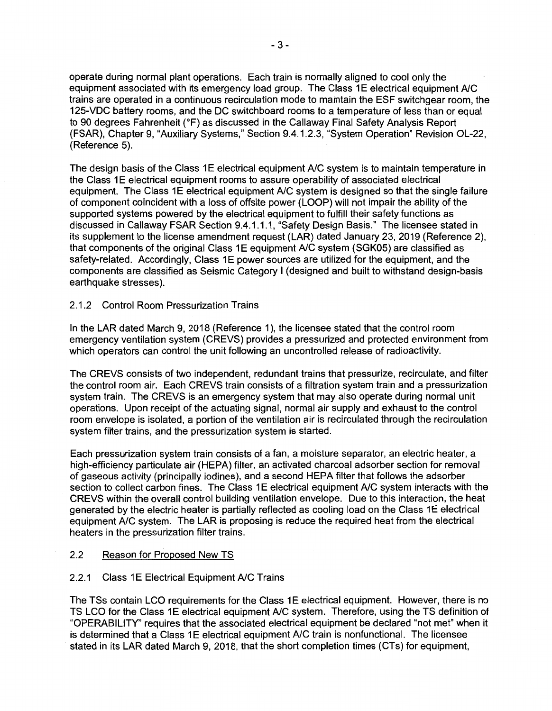operate during normal plant operations. Each train is normally aligned to cool only the equipment associated with its emergency load group. The Class 1E electrical equipment A/C trains are operated in a continuous recirculation mode to maintain the ESF switchgear room, the 125-VDC battery rooms, and the DC switchboard rooms to a temperature of less than or equal to 90 degrees Fahrenheit (°F) as discussed in the Callaway Final Safety Analysis Report (FSAR), Chapter 9, "Auxiliary Systems," Section 9.4.1.2.3, "System Operation" Revision OL-22, (Reference 5).

The design basis of the Class 1E electrical equipment A/C system is to maintain temperature in the Class 1E electrical equipment rooms to assure operability of associated electrical equipment. The Class 1E electrical equipment A/C system is designed so that the single failure of component coincident with a loss of offsite power (LOOP) will not impair the ability of the supported systems powered by the electrical equipment to fulfill their safety functions as discussed in Callaway FSAR Section 9.4.1.1.1, "Safety Design Basis." The licensee stated in its supplement to the license amendment request (LAR) dated January 23, 2019 (Reference 2), that components of the original Class 1E equipment A/C system (SGK05) are classified as safety-related. Accordingly, Class 1E power sources are utilized for the equipment, and the components are classified as Seismic Category I (designed and built to withstand design-basis earthquake stresses).

## 2.1.2 Control Room Pressurization Trains

In the LAR dated March 9, 2018 (Reference 1 ), the licensee stated that the control room emergency ventilation system (CREVS) provides a pressurized and protected environment from which operators can control the unit following an uncontrolled release of radioactivity.

The CREVS consists of two independent, redundant trains that pressurize, recirculate, and filter the control room air. Each CREVS train consists of a filtration system train and a pressurization system train. The CREVS is an emergency system that may also operate during normal unit operations. Upon receipt of the actuating signal, normal air supply and exhaust to the control room envelope is isolated, a portion of the ventilation air is recirculated through the recirculation system filter trains, and the pressurization system is started.

Each pressurization system train consists of a fan, a moisture separator, an electric heater, a high-efficiency particulate air (HEPA) filter, an activated charcoal adsorber section for removal of gaseous activity (principally iodines), and a second HEPA filter that follows the adsorber section to collect carbon fines. The Class 1E electrical equipment A/C system interacts with the CREVS within the overall control building ventilation envelope. Due to this interaction, the heat generated by the electric heater is partially reflected as cooling load on the Class 1E electrical equipment A/C system. The LAR is proposing is reduce the required heat from the electrical heaters in the pressurization filter trains.

## 2.2 Reason for Proposed New TS

## 2.2.1 Class 1E Electrical Equipment A/C Trains

The TSs contain LCO requirements for the Class 1E electrical equipment. However, there is no TS LCO for the Class 1E electrical equipment A/C system. Therefore, using the TS definition of "OPERABILITY' requires that the associated electrical equipment be declared "not met" when it is determined that a Class 1E electrical equipment A/C train is nonfunctional. The licensee stated in its LAR dated March 9, 2018, that the short completion times {CTs} for equipment,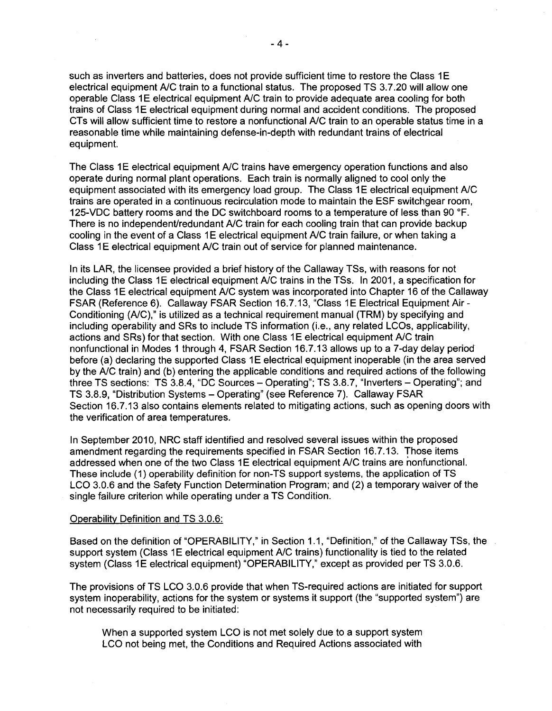such as inverters and batteries, does not provide sufficient time to restore the Class 1E electrical equipment A/C train to a functional status. The proposed TS 3.7.20 will allow one operable Class 1E electrical equipment A/C train to provide adequate area cooling for both trains of Class 1E electrical equipment during normal and accident conditions. The proposed CTs will allow sufficient time to restore a nonfunctional A/C train to an operable status time in a reasonable time while maintaining defense-in-depth with redundant trains of electrical equipment.

The Class 1E electrical equipment A/C trains have emergency operation functions and also operate during normal plant operations. Each train is normally aligned to cool only the equipment associated with its emergency load group. The Class 1E electrical equipment A/C trains are operated in a continuous recirculation mode to maintain the ESF switchgear room, 125-VDC battery rooms and the DC switchboard rooms to a temperature of less than 90 °F. There is no independent/redundant A/C train for each cooling train that can provide backup cooling in the event of a Class 1E electrical equipment A/C train failure, or when taking a Class 1E electrical equipment A/C train out of service for planned maintenance.

In its LAR, the licensee provided a brief history of the Callaway TSs, with reasons for not including the Class 1E electrical equipment A/C trains in the TSs. In 2001, a specification for the Class 1E electrical equipment A/C system was incorporated into Chapter 16 of the Callaway FSAR (Reference 6). Callaway FSAR Section 16.7.13, "Class 1E Electrical Equipment Air -Conditioning (A/C)," is utilized as a technical requirement manual (TRM) by specifying and including operability and SRs to include TS information (i.e., any related LCOs, applicability, actions and SRs) for that section. With one Class 1E electrical equipment A/C train nonfunctional in Modes 1 through 4, FSAR Section 16.7.13 allows up to a 7-day delay period before (a) declaring the supported Class 1E electrical equipment inoperable (in the area served by the A/C train) and (b) entering the applicable conditions and required actions of the following three TS sections: TS 3.8.4, "DC Sources - Operating"; TS 3.8.7, "Inverters - Operating"; and TS 3.8.9, "Distribution Systems - Operating" (see Reference 7). Callaway FSAR Section 16.7.13 also contains elements related to mitigating actions, such as opening doors with the verification of area temperatures.

In September 2010, NRC staff identified and resolved several issues within the proposed amendment regarding the requirements specified in FSAR Section 16.7.13. Those items addressed when one of the two Class 1E electrical equipment A/C trains are nonfunctional. These include (1) operability definition for non-TS support systems, the application of TS LCO 3.0.6 and the Safety Function Determination Program; and (2) a temporary waiver of the single failure criterion while operating under a TS Condition.

#### Operability Definition and TS 3.0.6:

Based on the definition of "OPERABILITY," in Section 1.1, "Definition," of the Callaway TSs, the support system (Class 1E electrical equipment A/C trains) functionality is tied to the related system (Class 1E electrical equipment) "OPERABILITY," except as provided per TS 3.0.6.

The provisions of TS LCO 3.0.6 provide that when TS-required actions are initiated for support system inoperability, actions for the system or systems it support (the "supported system") are not necessarily required to be initiated:

When a supported system LCO is not met solely due to a support system LCO not being met, the Conditions and Required Actions associated with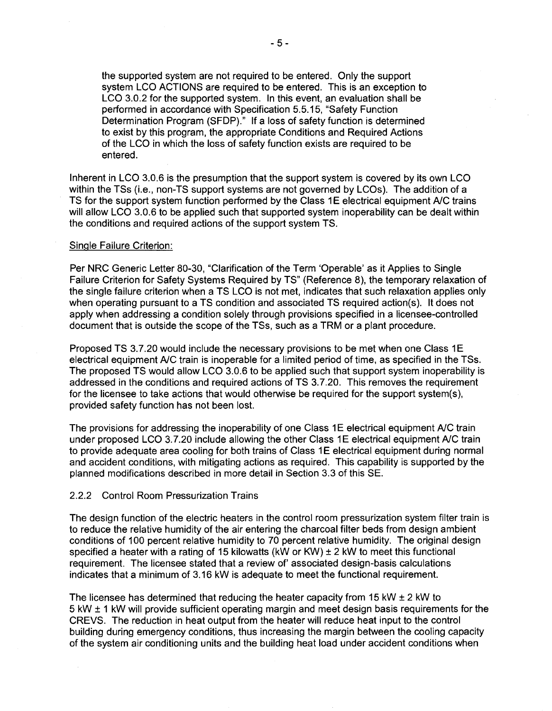the supported system are not required to be entered. Only the support system LCO ACTIONS are required to be entered. This is an exception to LCO 3.0.2 for the supported system. In this event, an evaluation shall be performed in accordance with Specification 5.5.15, "Safety Function Determination Program (SFDP)." If a loss of safety function is determined to exist by this program, the appropriate Conditions and Required Actions of the LCO in which the loss of safety function exists are required to be entered.

Inherent in LCO 3.0.6 is the presumption that the support system is covered by its own LCO within the TSs (i.e., non-TS support systems are not governed by LCOs). The addition of a TS for the support system function performed by the Class 1E electrical equipment A/C trains will allow LCO 3.0.6 to be applied such that supported system inoperability can be dealt within the conditions and required actions of the support system TS.

#### Single Failure Criterion:

Per NRC Generic Letter 80-30, "Clarification of the Term 'Operable' as it Applies to Single Failure Criterion for Safety Systems Required by TS" (Reference 8), the temporary relaxation of the single failure criterion when a TS LCO is not met, indicates that such relaxation applies only when operating pursuant to a TS condition and associated TS required action(s). It does not apply when addressing a condition solely through provisions specified in a licensee-controlled document that is outside the scope of the TSs, such as a TRM or a plant procedure.

Proposed TS 3.7.20 would include the necessary provisions to be met when one Class 1E electrical equipment A/C train is inoperable for a limited period of time, as specified in the TSs. The proposed TS would allow LCO 3.0.6 to be applied such that support system inoperability is addressed in the conditions and required actions of TS 3. 7.20. This removes the requirement for the licensee to take actions that would otherwise be required for the support system(s), provided safety function has not been lost.

The provisions for addressing the inoperability of one Class 1E electrical equipment A/C train under proposed LCO 3.7.20 include allowing the other Class 1E electrical equipment A/C train to provide adequate area cooling for both trains of Class 1E electrical equipment during normal and accident conditions, with mitigating actions as required. This capability is supported by the planned modifications described in more detail in Section 3.3 of this SE.

#### 2.2.2 Control Room Pressurization Trains

The design function of the electric heaters in the control room pressurization system filter train is to reduce the relative humidity of the air entering the charcoal filter beds from design ambient conditions of 100 percent relative humidity to 70 percent relative humidity. The original design specified a heater with a rating of 15 kilowatts (kW or KW)  $\pm$  2 kW to meet this functional requirement. The licensee stated that a review of' associated design-basis calculations indicates that a minimum of 3.16 kW is adequate to meet the functional requirement.

The licensee has determined that reducing the heater capacity from 15 kW  $\pm$  2 kW to 5 kW ± 1 kW will provide sufficient operating margin and meet design basis requirements for the CREVS. The reduction in heat output from the heater will reduce heat input to the control building during emergency conditions, thus increasing the margin between the cooling capacity of the system air conditioning units and the building heat load under accident conditions when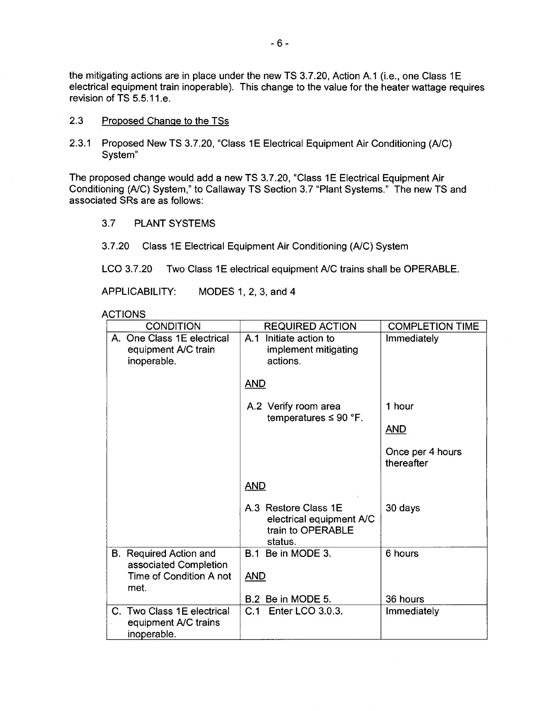the mitigating actions are in place under the new TS 3.7.20, Action A.1 (i.e., one Class 1E electrical equipment train inoperable). This change to the value for the heater wattage requires revision of TS 5.5.11.e.

- 2.3 Proposed Change to the TSs
- 2.3.1 Proposed New TS 3.7.20, "Class 1E Electrical Equipment Air Conditioning (A/C) System"

The proposed change would add a new TS 3.7.20, "Class 1E Electrical Equipment Air Conditioning (A/C) System," to Callaway TS Section 3.7 "Plant Systems." The new TS and associated SRs are as follows:

- 3.7 PLANT SYSTEMS
- 3.7.20 Class 1E Electrical Equipment Air Conditioning (A/C) System

LCO 3.7.20 Two Class 1E electrical equipment A/C trains shall be OPERABLE.

APPLICABILITY: MODES 1, 2, 3, and 4

**ACTIONS** 

| <b>CONDITION</b>                                                  | <b>REQUIRED ACTION</b>                                                           | <b>COMPLETION TIME</b>         |
|-------------------------------------------------------------------|----------------------------------------------------------------------------------|--------------------------------|
| A. One Class 1E electrical<br>equipment A/C train<br>inoperable.  | A.1 Initiate action to<br>implement mitigating<br>actions.                       | Immediately                    |
|                                                                   | <b>AND</b>                                                                       |                                |
|                                                                   | A.2 Verify room area<br>temperatures $\leq 90$ °F.                               | 1 hour                         |
|                                                                   |                                                                                  | <b>AND</b>                     |
|                                                                   |                                                                                  | Once per 4 hours<br>thereafter |
|                                                                   | <b>AND</b>                                                                       |                                |
|                                                                   | A.3 Restore Class 1E<br>electrical equipment A/C<br>train to OPERABLE<br>status. | 30 days                        |
| B. Required Action and<br>associated Completion                   | B.1 Be in MODE 3.                                                                | 6 hours                        |
| Time of Condition A not<br>met.                                   | <b>AND</b>                                                                       |                                |
|                                                                   | B.2 Be in MODE 5.                                                                | 36 hours                       |
| C. Two Class 1E electrical<br>equipment A/C trains<br>inoperable. | C.1 Enter LCO 3.0.3.                                                             | Immediately                    |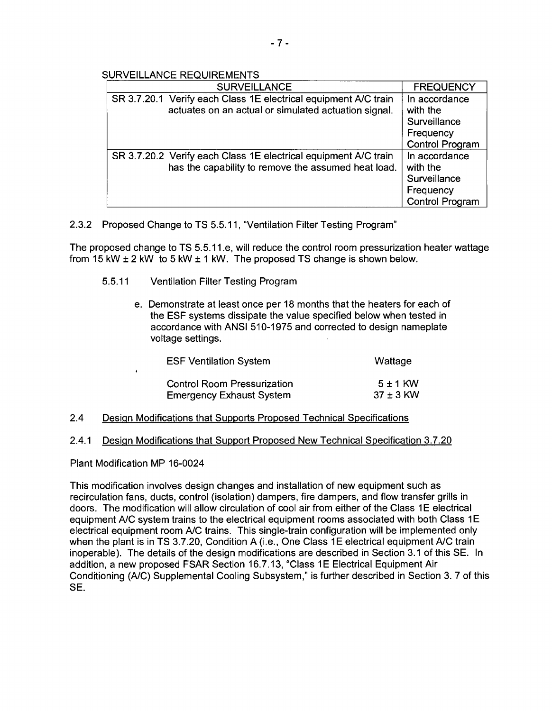- 7 -

SURVEILLANCE REQUIREMENTS

| <b>SURVEILLANCE</b>                                                                                                     | <b>FREQUENCY</b>                                                                 |
|-------------------------------------------------------------------------------------------------------------------------|----------------------------------------------------------------------------------|
| SR 3.7.20.1 Verify each Class 1E electrical equipment A/C train<br>actuates on an actual or simulated actuation signal. | In accordance<br>with the<br>Surveillance<br>Frequency<br><b>Control Program</b> |
| SR 3.7.20.2 Verify each Class 1E electrical equipment A/C train<br>has the capability to remove the assumed heat load.  | In accordance<br>with the<br>Surveillance<br>Frequency<br><b>Control Program</b> |

2.3.2 Proposed Change to TS 5.5.11, "Ventilation Filter Testing Program"

The proposed change to TS 5.5.11.e, will reduce the control room pressurization heater wattage from 15 kW  $\pm$  2 kW to 5 kW  $\pm$  1 kW. The proposed TS change is shown below.

- 5.5.11 Ventilation Filter Testing Program
	- e. Demonstrate at least once per 18 months that the heaters for each of the ESF systems dissipate the value specified below when tested in accordance with ANSI 510-1975 and corrected to design nameplate voltage settings.

| <b>ESF Ventilation System</b>      | Wattage       |
|------------------------------------|---------------|
| <b>Control Room Pressurization</b> | $5 \pm 1$ KW  |
| <b>Emergency Exhaust System</b>    | $37 \pm 3$ KW |

- 2.4 Design Modifications that Supports Proposed Technical Specifications
- 2.4.1 Design Modifications that Support Proposed New Technical Specification 3.7.20

Plant Modification MP 16-0024

 $\ddot{\bullet}$ 

This modification involves design changes and installation of new equipment such as recirculation fans, ducts, control (isolation) dampers, fire dampers, and flow transfer grills in doors. The modification will allow circulation of cool air from either of the Class 1E electrical equipment A/C system trains to the electrical equipment rooms associated with both Class 1E electrical equipment room A/C trains. This single-train configuration will be implemented only when the plant is in TS 3.7.20, Condition A (i.e., One Class 1E electrical equipment A/C train inoperable). The details of the design modifications are described in Section 3.1 of this SE. In addition, a new proposed FSAR Section 16.7.13, "Class 1E Electrical Equipment Air Conditioning (A/C) Supplemental Cooling Subsystem," is further described in Section 3. 7 of this SE.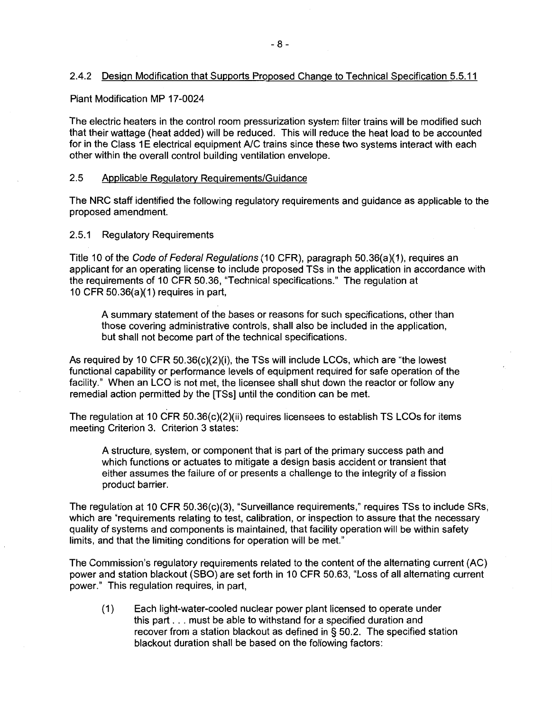## 2.4.2 Design Modification that Supports Proposed Change to Technical Specification 5.5.11

#### Plant Modification MP 17-0024

The electric heaters in the control room pressurization system filter trains will be modified such that their wattage (heat added) will be reduced. This will reduce the heat load to be accounted for in the Class 1E electrical equipment A/C trains since these two systems interact with each other within the overall control building ventilation envelope.

## 2.5 Applicable Regulatory Requirements/Guidance

The NRC staff identified the following regulatory requirements and guidance as applicable to the proposed amendment.

## 2.5.1 Regulatory Requirements

Title 10 of the Code of Federal Regulations (10 CFR), paragraph 50.36(a)(1), requires an applicant for an operating license to include proposed TSs in the application in accordance with the requirements of 10 CFR 50.36, "Technical specifications." The regulation at 10 CFR 50.36(a)(1) requires in part,

A summary statement of the bases or reasons for such specifications, other than those covering administrative controls, shall also be included in the application, but shall not become part of the technical specifications.

As required by 10 CFR  $50.36(c)(2)(i)$ , the TSs will include LCOs, which are "the lowest functional capability or performance levels of equipment required for safe operation of the facility." When an LCO is not met, the licensee shall shut down the reactor or follow any remedial action permitted by the [TSs] until the condition can be met.

The regulation at 10 CFR  $50.36(c)(2)(ii)$  requires licensees to establish TS LCOs for items meeting Criterion 3. Criterion 3 states:

A structure, system, or component that is part of the primary success path and which functions or actuates to mitigate a design basis accident or transient that either assumes the failure of or presents a challenge to the integrity of a fission product barrier.

The regulation at 10 CFR 50.36(c)(3), "Surveillance requirements," requires TSs to include SRs, which are "requirements relating to test, calibration, or inspection to assure that the necessary quality of systems and components is maintained, that facility operation will be within safety limits, and that the limiting conditions for operation will be met."

The Commission's regulatory requirements related to the content of the alternating current (AC) power and station blackout (SBO) are set forth in 10 CFR 50.63, "Loss of all alternating current power." This regulation requires, in part,

(1) Each light-water-cooled nuclear power plant licensed to operate under this part ... must be able to withstand for a specified duration and recover from a station blackout as defined in § 50.2. The specified station blackout duration shall be based on the following factors: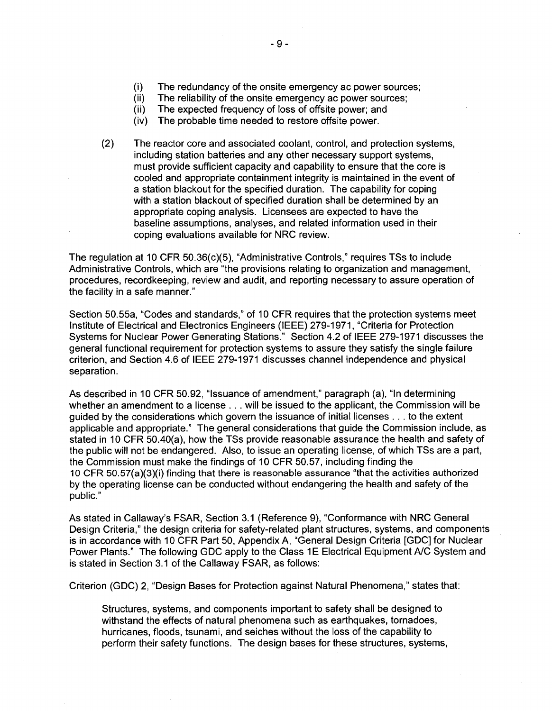- (ii) The reliability of the onsite emergency ac power sources;
- (ii) The expected frequency of loss of offsite power; and
- (iv) The probable time needed to restore offsite power.
- (2) The reactor core and associated coolant, control, and protection systems, including station batteries and any other necessary support systems, must provide sufficient capacity and capability to ensure that the core is cooled and appropriate containment integrity is maintained in the event of a station blackout for the specified duration. The capability for coping with a station blackout of specified duration shall be determined by an appropriate coping analysis. Licensees are expected to have the baseline assumptions, analyses, and related information used in their coping evaluations available for NRC review.

The regulation at 10 CFR 50.36(c)(5), "Administrative Controls," requires TSs to include Administrative Controls, which are "the provisions relating to organization and management, procedures, recordkeeping, review and audit, and reporting necessary to assure operation of the facility in a safe manner."

Section 50.55a, "Codes and standards," of 10 CFR requires that the protection systems meet Institute of Electrical and Electronics Engineers (IEEE) 279-1971, "Criteria for Protection Systems for Nuclear Power Generating Stations." Section 4.2 of IEEE 279-1971 discusses the general functional requirement for protection systems to assure they satisfy the single failure criterion, and Section 4.6 of IEEE 279-1971 discusses channel independence and physical separation.

As described in 10 CFR 50.92, "Issuance of amendment," paragraph (a), "In determining whether an amendment to a license . . . will be issued to the applicant, the Commission will be guided by the considerations which govern the issuance of initial licenses ... to the extent applicable and appropriate." The general considerations that guide the Commission include, as stated in 10 CFR 50.40(a), how the TSs provide reasonable assurance the health and safety of the public will not be endangered. Also, to issue an operating license, of which TSs are a part, the Commission must make the findings of 10 CFR 50.57, including finding the 10 CFR 50.57(a)(3)(i) finding that there is reasonable assurance "that the activities authorized by the operating license can be conducted without endangering the health and safety of the public."

As stated in Callaway's FSAR, Section 3.1 (Reference 9), "Conformance with NRC General Design Criteria," the design criteria for safety-related plant structures, systems, and components is in accordance with 10 CFR Part 50, Appendix A, "General Design Criteria [GDC] for Nuclear Power Plants." The following GDC apply to the Class 1E Electrical Equipment A/C System and is stated in Section 3.1 of the Callaway FSAR, as follows:

Criterion (GDC) 2, "Design Bases for Protection against Natural Phenomena," states that:

Structures, systems, and components important to safety shall be designed to withstand the effects of natural phenomena such as earthquakes, tornadoes, hurricanes, floods, tsunami, and seiches without the loss of the capability to perform their safety functions. The design bases for these structures, systems,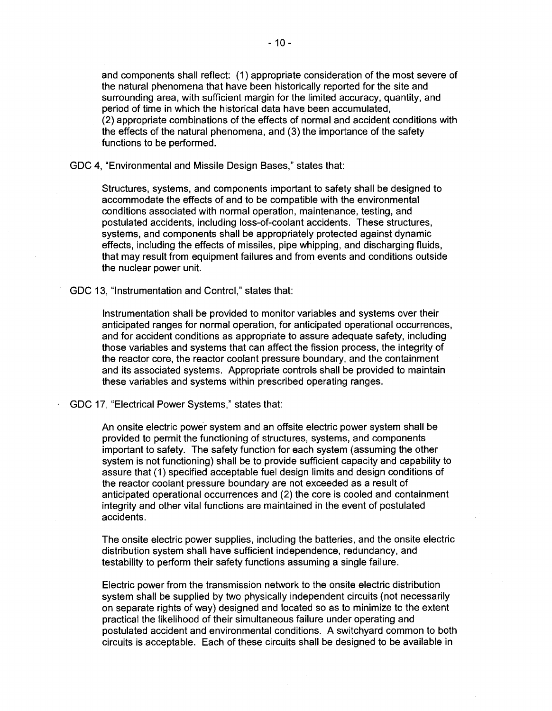and components shall reflect: (1) appropriate consideration of the most severe of the natural phenomena that have been historically reported for the site and surrounding area, with sufficient margin for the limited accuracy, quantity, and period of time in which the historical data have been accumulated, (2) appropriate combinations of the effects of normal and accident conditions with the effects of the natural phenomena, and (3) the importance of the safety functions to be performed.

GDC 4, "Environmental and Missile Design Bases," states that:

Structures, systems, and components important to safety shall be designed to accommodate the effects of and to be compatible with the environmental conditions associated with normal operation, maintenance, testing, and postulated accidents, including loss-of-coolant accidents. These structures, systems, and components shall be appropriately protected against dynamic effects, including the effects of missiles, pipe whipping, and discharging fluids, that may result from equipment failures and from events and conditions outside the nuclear power unit.

GDC 13, "Instrumentation and Control," states that:

Instrumentation shall be provided to monitor variables and systems over their anticipated ranges for normal operation, for anticipated operational occurrences, and for accident conditions as appropriate to assure adequate safety, including those variables and systems that can affect the fission process, the integrity of the reactor core, the reactor coolant pressure boundary, and the containment and its associated systems. Appropriate controls shall be provided to maintain these variables and systems within prescribed operating ranges.

GDC 17, "Electrical Power Systems," states that:

An onsite electric power system and an offsite electric power system shall be provided to permit the functioning of structures, systems, and components important to safety. The safety function for each system (assuming the other system is not functioning) shall be to provide sufficient capacity and capability to assure that (1) specified acceptable fuel design limits and design conditions of the reactor coolant pressure boundary are not exceeded as a result of anticipated operational occurrences and (2) the core is cooled and containment integrity and other vital functions are maintained in the event of postulated accidents.

The onsite electric power supplies, including the batteries, and the onsite electric distribution system shall have sufficient independence, redundancy, and testability to perform their safety functions assuming a single failure.

Electric power from the transmission network to the onsite electric distribution system shall be supplied by two physically independent circuits (not necessarily on separate rights of way) designed and located so as to minimize to the extent practical the likelihood of their simultaneous failure under operating and postulated accident and environmental conditions. A switchyard common to both circuits is acceptable. Each of these circuits shall be designed to be available in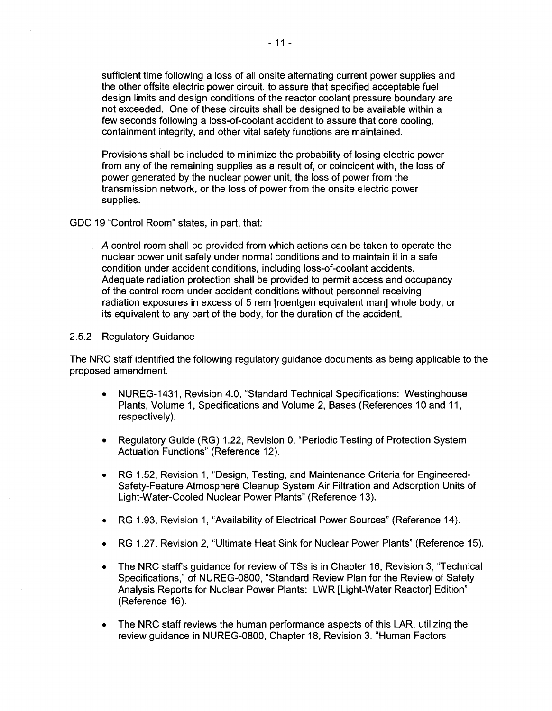sufficient time following a loss of all onsite alternating current power supplies and the other offsite electric power circuit, to assure that specified acceptable fuel design limits and design conditions of the reactor coolant pressure boundary are not exceeded. One of these circuits shall be designed to be available within a few seconds following a loss-of-coolant accident to assure that core cooling, containment integrity, and other vital safety functions are maintained.

Provisions shall be included to minimize the probability of losing electric power from any of the remaining supplies as a result of, or coincident with, the loss of power generated by the nuclear power unit, the loss of power from the transmission network, or the loss of power from the onsite electric power supplies.

GDC 19 "Control Room" states, in part, that:

*A* control room shall be provided from which actions can be taken to operate the nuclear power unit safely under normal conditions and to maintain it in a safe condition under accident conditions, including loss-of-coolant accidents. Adequate radiation protection shall be provided to permit access and occupancy of the control room under accident conditions without personnel receiving radiation exposures in excess of 5 rem [roentgen equivalent man] whole body, or its equivalent to any part of the body, for the duration of the accident.

#### 2.5.2 Regulatory Guidance

The NRC staff identified the following regulatory guidance documents as being applicable to the proposed amendment.

- NUREG-1431, Revision 4.0, "Standard Technical Specifications: Westinghouse Plants, Volume 1, Specifications and Volume 2, Bases (References 10 and 11, respectively).
- Regulatory Guide (RG) 1.22, Revision 0, "Periodic Testing of Protection System Actuation Functions" (Reference 12).
- RG 1.52, Revision 1, "Design, Testing, and Maintenance Criteria for Engineered-Safety-Feature Atmosphere Cleanup System Air Filtration and Adsorption Units of Light-Water-Cooled Nuclear Power Plants" (Reference 13).
- RG 1.93, Revision 1, "Availability of Electrical Power Sources" (Reference 14 ).
- RG 1.27, Revision 2, "Ultimate Heat Sink for Nuclear Power Plants" (Reference 15).
- The NRC staff's guidance for review of TSs is in Chapter 16, Revision 3, "Technical Specifications," of NUREG-0800, "Standard Review Plan for the Review of Safety Analysis Reports for Nuclear Power Plants: LWR [Light-Water Reactor] Edition" (Reference 16).
- The NRC staff reviews the human performance aspects of this LAR, utilizing the review guidance in NUREG-0800, Chapter 18, Revision 3, "Human Factors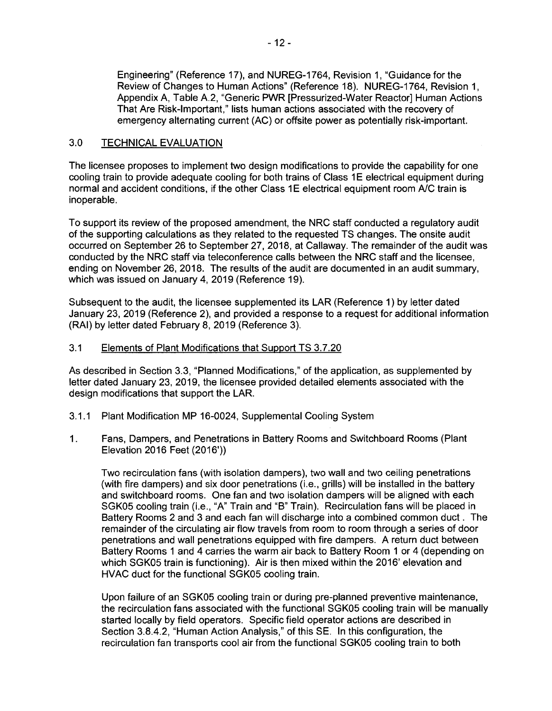Engineering" (Reference 17), and NUREG-1764, Revision 1, "Guidance for the Review of Changes to Human Actions" (Reference 18). NUREG-1764, Revision 1, Appendix A, Table A.2, "Generic PWR [Pressurized-Water Reactor] Human Actions That Are Risk-Important," lists human actions associated with the recovery of emergency alternating current (AC) or offsite power as potentially risk-important.

## 3.0 TECHNICAL EVALUATION

The licensee proposes to implement two design modifications to provide the capability for one cooling train to provide adequate cooling for both trains of Class 1E electrical equipment during normal and accident conditions, if the other Class 1E electrical equipment room A/C train is inoperable.

To support its review of the proposed amendment, the NRC staff conducted a regulatory audit of the supporting calculations as they related to the requested TS changes. The onsite audit occurred on September 26 to September 27, 2018, at Callaway. The remainder of the audit was conducted by the NRC staff via teleconference calls between the NRC staff and the licensee, ending on November 26, 2018. The results of the audit are documented in an audit summary, which was issued on January 4, 2019 (Reference 19).

Subsequent to the audit, the licensee supplemented its LAR (Reference 1) by letter dated January 23, 2019 (Reference 2), and provided a response to a request for additional information (RAI) by letter dated February 8, 2019 (Reference 3).

## 3.1 Elements of Plant Modifications that Support TS 3.7.20

As described in Section 3.3, "Planned Modifications," of the application, as supplemented by letter dated January 23, 2019, the licensee provided detailed elements associated with the design modifications that support the LAR.

- 3.1.1 Plant Modification MP 16-0024, Supplemental Cooling System
- 1. Fans, Dampers, and Penetrations in Battery Rooms and Switchboard Rooms (Plant Elevation 2016 Feet (2016'))

Two recirculation fans (with isolation dampers), two wall and two ceiling penetrations (with fire dampers) and six door penetrations (i.e., grills) will be installed in the battery and switchboard rooms. One fan and two isolation dampers will be aligned with each SGK05 cooling train (i.e., "A" Train and "B" Train). Recirculation fans will be placed in Battery Rooms 2 and 3 and each fan will discharge into a combined common duct . The remainder of the circulating air flow travels from room to room through a series of door penetrations and wall penetrations equipped with fire dampers. A return duct between Battery Rooms 1 and 4 carries the warm air back to Battery Room 1 or 4 (depending on which SGK05 train is functioning). Air is then mixed within the 2016' elevation and HVAC duct for the functional SGK05 cooling train.

Upon failure of an SGK05 cooling train or during pre-planned preventive maintenance, the recirculation fans associated with the functional SGK05 cooling train will be manually started locally by field operators. Specific field operator actions are described in Section 3.8.4.2, "Human Action Analysis," of this SE. In this configuration, the recirculation fan transports cool air from the functional SGK05 cooling train to both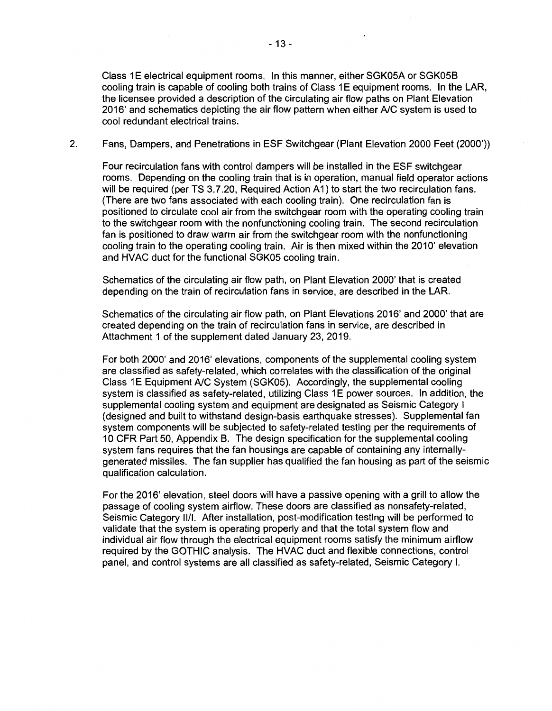Class 1E electrical equipment rooms. In this manner, either SGK05A or SGK05B cooling train is capable of cooling both trains of Class 1E equipment rooms. In the LAR, the licensee provided a description of the circulating air flow paths on Plant Elevation 2016' and schematics depicting the air flow pattern when either A/C system is used to cool redundant electrical trains.

2. Fans, Dampers, and Penetrations in ESF Switchgear (Plant Elevation 2000 Feet (2000'))

Four recirculation fans with control dampers will be installed in the ESF switchgear rooms. Depending on the cooling train that is in operation, manual field operator actions will be required (per TS 3.7.20, Required Action A1) to start the two recirculation fans. (There are two fans associated with each cooling train). One recirculation fan is positioned to circulate cool air from the switchgear room with the operating cooling train to the switchgear room with the nonfunctioning cooling train. The second recirculation fan is positioned to draw warm air from the switchgear room with the nonfunctioning cooling train to the operating cooling train. Air is then mixed within the 2010' elevation and HVAC duct for the functional SGK05 cooling train.

Schematics of the circulating air flow path, on Plant Elevation 2000' that is created depending on the train of recirculation fans in service, are described in the LAR.

Schematics of the circulating air flow path, on Plant Elevations 2016' and 2000' that are created depending on the train of recirculation fans in service, are described in Attachment 1 of the supplement dated January 23, 2019.

For both 2000' and 2016' elevations, components of the supplemental cooling system are classified as safety-related, which correlates with the classification of the original Class 1E Equipment A/C System (SGK05). Accordingly, the supplemental cooling system is classified as safety-related, utilizing Class 1E power sources. In addition, the supplemental cooling system and equipment are designated as Seismic Category I (designed and built to withstand design-basis earthquake stresses). Supplemental fan system components will be subjected to safety-related testing per the requirements of 1 O CFR Part 50, Appendix B. The design specification for the supplemental cooling system fans requires that the fan housings are capable of containing any internallygenerated missiles. The fan supplier has qualified the fan housing as part of the seismic qualification calculation.

For the 2016' elevation, steel doors will have a passive opening with a grill to allow the passage of cooling system airflow. These doors are classified as nonsafety-related, Seismic Category 11/1. After installation, post-modification testing will be performed to validate that the system is operating properly and that the total system flow and individual air flow through the electrical equipment rooms satisfy the minimum airflow required by the GOTHIC analysis. The HVAC duct and flexible connections, control panel, and control systems are all classified as safety-related, Seismic Category I.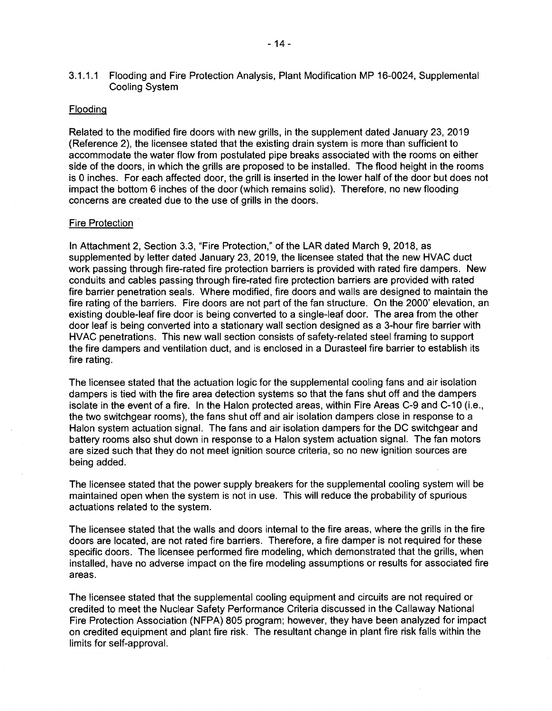3.1.1.1 Flooding and Fire Protection Analysis, Plant Modification MP 16-0024, Supplemental Cooling System

#### Flooding

Related to the modified fire doors with new grills, in the supplement dated January 23, 2019 (Reference 2), the licensee stated that the existing drain system is more than sufficient to accommodate the water flow from postulated pipe breaks associated with the rooms on either side of the doors, in which the grills are proposed to be installed. The flood height in the rooms is O inches. For each affected door, the grill is inserted in the lower half of the door but does not impact the bottom 6 inches of the door (which remains solid). Therefore, no new flooding concerns are created due to the use of grills in the doors.

#### Fire Protection

In Attachment 2, Section 3.3, "Fire Protection," of the LAR dated March 9, 2018, as supplemented by letter dated January 23, 2019, the licensee stated that the new HVAC duct work passing through fire-rated fire protection barriers is provided with rated fire dampers. New conduits and cables passing through fire-rated fire protection barriers are provided with rated fire barrier penetration seals. Where modified, fire doors and walls are designed to maintain the fire rating of the barriers. Fire doors are not part of the fan structure. On the 2000' elevation, an existing double-leaf fire door is being converted to a single-leaf door. The area from the other door leaf is being converted into a stationary wall section designed as a 3-hour fire barrier with HVAC penetrations. This new wall section consists of safety-related steel framing to support the fire dampers and ventilation duct, and is enclosed in a Durasteel fire barrier to establish its fire rating.

The licensee stated that the actuation logic for the supplemental cooling fans and air isolation dampers is tied with the fire area detection systems so that the fans shut off and the dampers isolate in the event of a fire. In the Halon protected areas, within Fire Areas C-9 and C-10 (i.e., the two switchgear rooms), the fans shut off and air isolation dampers close in response to a Halon system actuation signal. The fans and air isolation dampers for the DC switchgear and battery rooms also shut down in response to a Halon system actuation signal. The fan motors are sized such that they do not meet ignition source criteria, so no new ignition sources are being added.

The licensee stated that the power supply breakers for the supplemental cooling system will be maintained open when the system is not in use. This will reduce the probability of spurious actuations related to the system.

The licensee stated that the walls and doors internal to the fire areas, where the grills in the fire doors are located, are not rated fire barriers. Therefore, a fire damper is not required for these specific doors. The licensee performed fire modeling, which demonstrated that the grills, when installed, have no adverse impact on the fire modeling assumptions or results for associated fire areas.

The licensee stated that the supplemental cooling equipment and circuits are not required or credited to meet the Nuclear Safety Performance Criteria discussed in the Callaway National Fire Protection Association (NFPA) 805 program; however, they have been analyzed for impact on credited equipment and plant fire risk. The resultant change in plant fire risk falls within the limits for self-approval.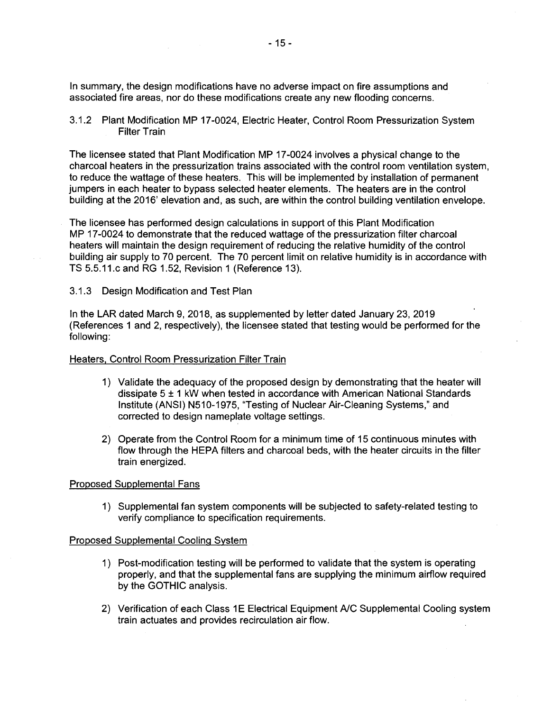In summary, the design modifications have no adverse impact on fire assumptions and associated fire areas, nor do these modifications create any new flooding concerns.

3.1.2 Plant Modification MP 17-0024, Electric Heater, Control Room Pressurization System Filter Train

The licensee stated that Plant Modification MP 17-0024 involves a physical change to the charcoal heaters in the pressurization trains associated with the control room ventilation system, to reduce the wattage of these heaters. This will be implemented by installation of permanent jumpers in each heater to bypass selected heater elements. The heaters are in the control building at the 2016' elevation and, as such, are within the control building ventilation envelope.

The licensee has performed design calculations in support of this Plant Modification MP 17-0024 to demonstrate that the reduced wattage of the pressurization filter charcoal heaters will maintain the design requirement of reducing the relative humidity of the control building air supply to 70 percent. The 70 percent limit on relative humidity is in accordance with TS 5.5.11.c and RG 1.52, Revision 1 (Reference 13).

## 3.1.3 Design Modification and Test Plan

In the LAR dated March 9, 2018, as supplemented by letter dated January 23, 2019 (References 1 and 2, respectively}, the licensee stated that testing would be performed for the following:

#### Heaters, Control Room Pressurization Filter Train

- 1) Validate the adequacy of the proposed design by demonstrating that the heater will dissipate 5 ± 1 kW when tested in accordance with American National Standards Institute (ANSI) N510-1975, "Testing of Nuclear Air-Cleaning Systems," and corrected to design nameplate voltage settings.
- 2) Operate from the Control Room for a minimum time of 15 continuous minutes with flow through the HEPA filters and charcoal beds, with the heater circuits in the filter train energized.

#### Proposed Supplemental Fans

1) Supplemental fan system components will be subjected to safety-related testing to verify compliance to specification requirements.

#### Proposed Supplemental Cooling System

- 1) Post-modification testing will be performed to validate that the system is operating properly, and that the supplemental fans are supplying the minimum airflow required by the GOTHIC analysis.
- 2) Verification of each Class 1E Electrical Equipment A/C Supplemental Cooling system train actuates and provides recirculation air flow.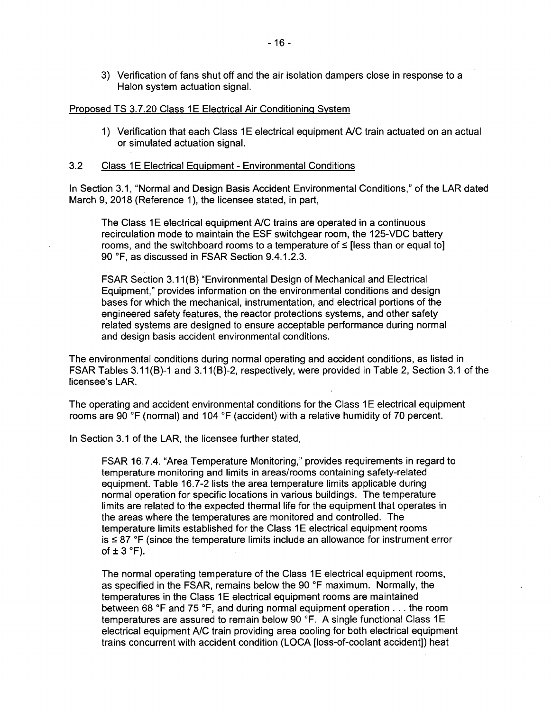3) Verification of fans shut off and the air isolation dampers close in response to a Halon system actuation signal.

#### Proposed TS 3.7.20 Class 1E Electrical Air Conditioning System

1) Verification that each Class 1E electrical equipment A/C train actuated on an actual or simulated actuation signal.

#### 3.2 Class 1 E Electrical Equipment - Environmental Conditions

In Section 3.1, "Normal and Design Basis Accident Environmental Conditions," of the LAR dated March 9, 2018 (Reference 1), the licensee stated, in part,

The Class 1E electrical equipment A/C trains are operated in a continuous recirculation mode to maintain the ESF switchgear room, the 125-VDC battery rooms, and the switchboard rooms to a temperature of  $\leq$  [less than or equal to] 90 °F, as discussed in FSAR Section 9.4.1.2.3.

FSAR Section 3.11 (B) "Environmental Design of Mechanical and Electrical Equipment," provides information on the environmental conditions and design bases for which the mechanical, instrumentation, and electrical portions of the engineered safety features, the reactor protections systems, and other safety related systems are designed to ensure acceptable performance during normal and design basis accident environmental conditions.

The environmental conditions during normal operating and accident conditions, as listed in FSAR Tables 3.11(B)-1 and 3.11(B)-2, respectively, were provided in Table 2, Section 3.1 of the licensee's LAR.

The operating and accident environmental conditions for the Class 1E electrical equipment rooms are 90 °F (normal) and 104 °F (accident) with a relative humidity of 70 percent.

In Section 3.1 of the LAR, the licensee further stated,

FSAR 16.7.4. "Area Temperature Monitoring," provides requirements in regard to temperature monitoring and limits in areas/rooms containing safety-related equipment. Table 16.7-2 lists the area temperature limits applicable during normal operation for specific locations in various buildings. The temperature limits are related to the expected thermal life for the equipment that operates in the areas where the temperatures are monitored and controlled. The temperature limits established for the Class 1E electrical equipment rooms  $is \leq 87$  °F (since the temperature limits include an allowance for instrument error of  $\pm$  3 °F).

The normal operating temperature of the Class 1E electrical equipment rooms, as specified in the FSAR, remains below the 90 °F maximum. Normally, the temperatures in the Class 1E electrical equipment rooms are maintained between 68 °F and 75 °F, and during normal equipment operation ... the room temperatures are assured to remain below 90 °F. A single functional Class 1 E electrical equipment A/C train providing area cooling for both electrical equipment trains concurrent with accident condition (LOCA [loss-of-coolant accident]) heat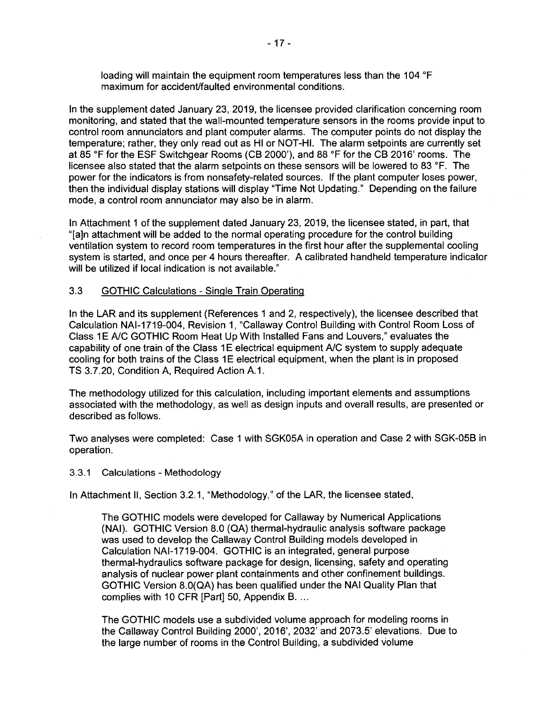loading will maintain the equipment room temperatures less than the 104 °F maximum for accident/faulted environmental conditions.

In the supplement dated January 23, 2019, the licensee provided clarification concerning room monitoring, and stated that the wall-mounted temperature sensors in the rooms provide input to control room annunciators and plant computer alarms. The computer points do not display the temperature; rather, they only read out as HI or NOT-HI. The alarm setpoints are currently set at 85 °F for the ESF Switchgear Rooms (CB 2000'), and 88 °F for the CB 2016' rooms. The licensee also stated that the alarm setpoints on these sensors will be lowered to 83 °F. The power for the indicators is from nonsafety-related sources. If the plant computer loses power, then the individual display stations will display "Time Not Updating." Depending on the failure mode, a control room annunciator may also be in alarm.

In Attachment 1 of the supplement dated January 23, 2019, the licensee stated, in part, that "[a]n attachment will be added to the normal operating procedure for the control building ventilation system to record room temperatures in the first hour after the supplemental cooling system is started, and once per 4 hours thereafter. A calibrated handheld temperature indicator will be utilized if local indication is not available."

## 3.3 GOTHIC Calculations - Single Train Operating

In the LAR and its supplement (References 1 and 2, respectively), the licensee described that Calculation NAl-1719-004, Revision 1, "Callaway Control Building with Control Room Loss of Class 1E A/C GOTHIC Room Heat Up With Installed Fans and Louvers," evaluates the capability of one train of the Class 1E electrical equipment A/C system to supply adequate cooling for both trains of the Class 1E electrical equipment, when the plant is in proposed TS 3.7.20, Condition A, Required Action A.1.

The methodology utilized for this calculation, including important elements and assumptions associated with the methodology, as well as design inputs and overall results, are presented or described as follows.

Two analyses were completed: Case 1 with SGK05A in operation and Case 2 with SGK-05B in operation.

#### 3.3.1 Calculations - Methodology

In Attachment II, Section 3.2.1, "Methodology," of the LAR, the licensee stated,

The GOTHIC models were developed for Callaway by Numerical Applications (NAI). GOTHIC Version 8.0 (QA) thermal-hydraulic analysis software package was used to develop the Callaway Control Building models developed in Calculation NAl-1719-004. GOTHIC is an integrated, general purpose thermal-hydraulics software package for design, licensing, safety and operating analysis of nuclear power plant containments and other confinement buildings. GOTHIC Version 8.0(QA) has been qualified under the NAI Quality Plan that complies with 10 CFR [Part] 50, Appendix B. ...

The GOTHIC models use a subdivided volume approach for modeling rooms in the Callaway Control Building 2000', 2016', 2032' and 2073.5' elevations. Due to the large number of rooms in the Control Building, a subdivided volume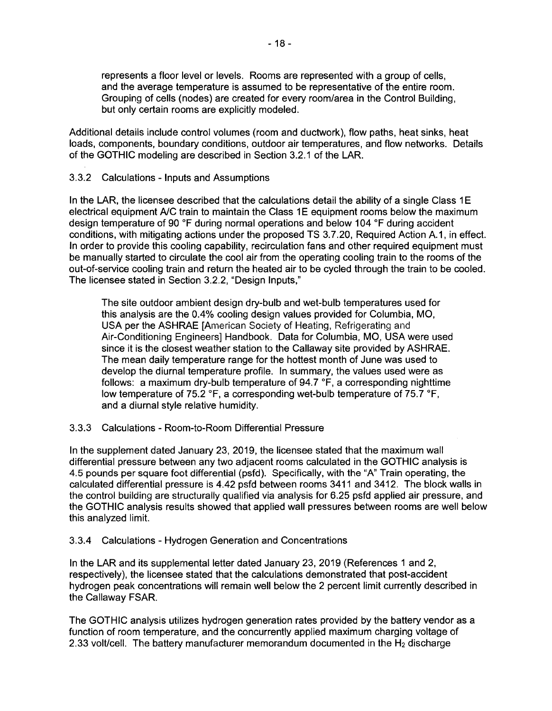represents a floor level or levels. Rooms are represented with a group of cells, and the average temperature is assumed to be representative of the entire room. Grouping of cells (nodes) are created for every room/area in the Control Building, but only certain rooms are explicitly modeled.

Additional details include control volumes (room and ductwork), flow paths, heat sinks, heat loads, components, boundary conditions, outdoor air temperatures, and flow networks. Details of the GOTHIC modeling are described in Section 3.2.1 of the LAR.

## 3.3.2 Calculations - Inputs and Assumptions

In the LAR, the licensee described that the calculations detail the ability of a single Class 1E electrical equipment A/C train to maintain the Class 1E equipment rooms below the maximum design temperature of 90 °F during normal operations and below 104 °F during accident conditions, with mitigating actions under the proposed TS 3. 7 .20, Required Action A.1, in effect. In order to provide this cooling capability, recirculation fans and other required equipment must be manually started to circulate the cool air from the operating cooling train to the rooms of the out-of-service cooling train and return the heated air to be cycled through the train to be cooled. The licensee stated in Section 3.2.2, "Design Inputs,"

The site outdoor ambient design dry-bulb and wet-bulb temperatures used for this analysis are the 0.4% cooling design values provided for Columbia, MO, USA per the ASHRAE [American Society of Heating, Refrigerating and Air-Conditioning Engineers] Handbook. Data for Columbia, MO, USA were used since it is the closest weather station to the Callaway site provided by ASHRAE. The mean daily temperature range for the hottest month of June was used to develop the diurnal temperature profile. In summary, the values used were as follows: a maximum dry-bulb temperature of 94.7 °F, a corresponding nighttime low temperature of 75.2 °F, a corresponding wet-bulb temperature of 75.7 °F, and a diurnal style relative humidity.

3.3.3 Calculations - Room-to-Room Differential Pressure

In the supplement dated January 23, 2019, the licensee stated that the maximum wall differential pressure between any two adjacent rooms calculated in the GOTHIC analysis is 4.5 pounds per square foot differential (psfd). Specifically, with the "A" Train operating, the calculated differential pressure is 4.42 psfd between rooms 3411 and 3412. The block walls in the control building are structurally qualified via analysis for 6.25 psfd applied air pressure, and the GOTHIC analysis results showed that applied wall pressures between rooms are well below this analyzed limit.

## 3.3.4 Calculations - Hydrogen Generation and Concentrations

In the LAR and its supplemental letter dated January 23, 2019 (References 1 and 2, respectively), the licensee stated that the calculations demonstrated that post-accident hydrogen peak concentrations will remain well below the 2 percent limit currently described in the Callaway FSAR.

The GOTHIC analysis utilizes hydrogen generation rates provided by the battery vendor as a function of room temperature, and the concurrently applied maximum charging voltage of 2.33 volt/cell. The battery manufacturer memorandum documented in the  $H_2$  discharge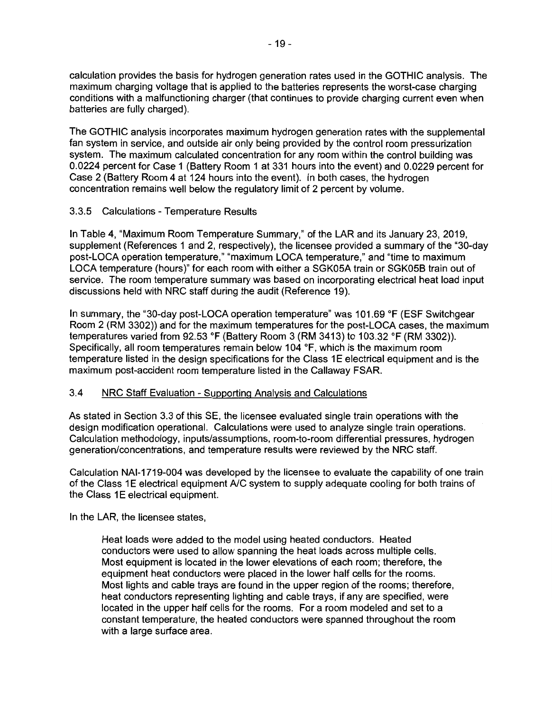calculation provides the basis for hydrogen generation rates used in the GOTHIC analysis. The maximum charging voltage that is applied to the batteries represents the worst-case charging conditions with a malfunctioning charger (that continues to provide charging current even when batteries are fully charged).

The GOTHIC analysis incorporates maximum hydrogen generation rates with the supplemental fan system in service, and outside air only being provided by the control room pressurization system. The maximum calculated concentration for any room within the control building was 0.0224 percent for Case 1 (Battery Room 1 at 331 hours into the event) and 0.0229 percent for Case 2 (Battery Room 4 at 124 hours into the event). In both cases, the hydrogen concentration remains well below the regulatory limit of 2 percent by volume.

## 3.3.5 Calculations - Temperature Results

In Table 4, "Maximum Room Temperature Summary," of the LAR and its January 23, 2019, supplement (References 1 and 2, respectively), the licensee provided a summary of the "30-day post-LOCA operation temperature," "maximum LOCA temperature," and "time to maximum LOCA temperature (hours)" for each room with either a SGK05A train or SGK05B train out of service. The room temperature summary was based on incorporating electrical heat load input discussions held with NRC staff during the audit (Reference 19).

In summary, the "30-day post-LOCA operation temperature" was 101.69 °F (ESF Switchgear Room 2 (RM 3302)) and for the maximum temperatures for the post-LOCA cases, the maximum temperatures varied from 92.53 °F (Battery Room 3 (RM 3413) to 103.32 °F (RM 3302)). Specifically, all room temperatures remain below 104 °F, which is the maximum room temperature listed in the design specifications for the Class 1 E electrical equipment and is the maximum post-accident room temperature listed in the Callaway FSAR.

## 3.4 NRC Staff Evaluation - Supporting Analysis and Calculations

As stated in Section 3.3 of this SE, the licensee evaluated single train operations with the design modification operational. Calculations were used to analyze single train operations. Calculation methodology, inputs/assumptions, room-to-room differential pressures, hydrogen generation/concentrations, and temperature results were reviewed by the NRC staff.

Calculation NAl-1719-004 was developed by the licensee to evaluate the capability of one train of the Class 1E electrical equipment A/C system to supply adequate cooling for both trains of the Class 1E electrical equipment.

In the LAR, the licensee states,

Heat loads were added to the model using heated conductors. Heated conductors were used to allow spanning the heat loads across multiple cells. Most equipment is located in the lower elevations of each room; therefore, the equipment heat conductors were placed in the lower half cells for the rooms. Most lights and cable trays are found in the upper region of the rooms; therefore, heat conductors representing lighting and cable trays, if any are specified, were located in the upper half cells for the rooms. For a room modeled and set to a constant temperature, the heated conductors were spanned throughout the room with a large surface area.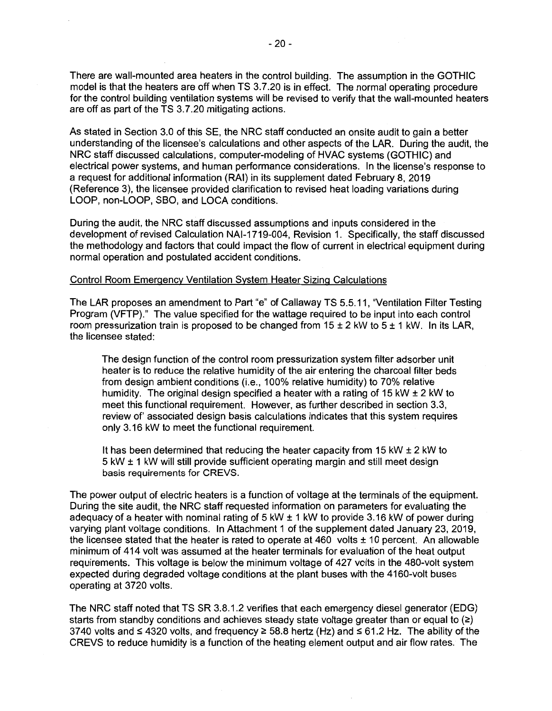There are wall-mounted area heaters in the control building. The assumption in the GOTHIC model is that the heaters are off when TS 3.7.20 is in effect. The normal operating procedure for the control building ventilation systems will be revised to verify that the wall-mounted heaters are off as part of the TS 3.7.20 mitigating actions.

As stated in Section 3.0 of this SE, the NRC staff conducted an onsite audit to gain a better understanding of the licensee's calculations and other aspects of the LAR. During the audit, the NRC staff discussed calculations, computer-modeling of HVAC systems (GOTHIC) and electrical power systems, and human performance considerations. In the license's response to a request for additional information **(RAI)** in its supplement dated February 8, 2019 (Reference 3), the licensee provided clarification to revised heat loading variations during LOOP, non-LOOP, SBO, and LOCA conditions.

During the audit, the NRC staff discussed assumptions and inputs considered in the development of revised Calculation NAl-1719-004, Revision 1. Specifically, the staff discussed the methodology and factors that could impact the flow of current in electrical equipment during normal operation and postulated accident conditions.

#### Control Room Emergency Ventilation System Heater Sizing Calculations

The LAR proposes an amendment to Part "e" of Callaway TS 5.5.11, "Ventilation Filter Testing Program (VFTP)." The value specified for the wattage required to be input into each control room pressurization train is proposed to be changed from  $15 \pm 2$  kW to  $5 \pm 1$  kW. In its LAR, the licensee stated:

The design function of the control room pressurization system filter adsorber unit heater is to reduce the relative humidity of the air entering the charcoal filter beds from design ambient conditions (i.e., 100% relative humidity) to 70% relative humidity. The original design specified a heater with a rating of 15 kW  $\pm$  2 kW to meet this functional requirement. However, as further described in section 3.3, review of' associated design basis calculations indicates that this system requires only 3.16 kW to meet the functional requirement.

It has been determined that reducing the heater capacity from 15 kW  $\pm$  2 kW to 5 kW ± 1 kW will still provide sufficient operating margin and still meet design basis requirements for CREVS.

The power output of electric heaters is a function of voltage at the terminals of the equipment. During the site audit, the NRC staff requested information on parameters for evaluating the adequacy of a heater with nominal rating of 5 kW ± 1 kW to provide 3.16 kW of power during varying plant voltage conditions. In Attachment 1 of the supplement dated January 23, 2019, the licensee stated that the heater is rated to operate at  $460$  volts  $\pm 10$  percent. An allowable minimum of 414 volt was assumed at the heater terminals for evaluation of the heat output requirements. This voltage is below the minimum voltage of 427 volts in the 480-volt system expected during degraded voltage conditions at the plant buses with the 4160-volt buses operating at 3720 volts.

The NRC staff noted that TS SR 3.8.1.2 verifies that each emergency diesel generator (EDG) starts from standby conditions and achieves steady state voltage greater than or equal to  $(2)$ 3740 volts and  $\leq$  4320 volts, and frequency  $\geq$  58.8 hertz (Hz) and  $\leq$  61.2 Hz. The ability of the CREVS to reduce humidity is a function of the heating element output and air flow rates. The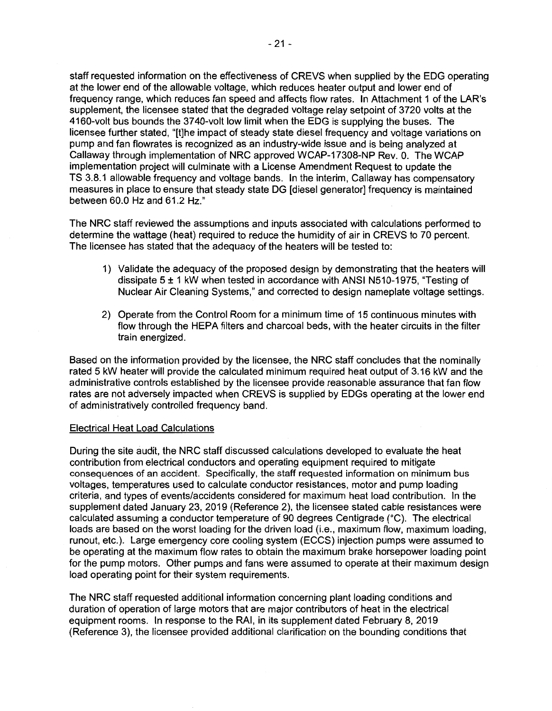staff requested information on the effectiveness of CREVS when supplied by the EOG operating at the lower end of the allowable voltage, which reduces heater output and lower end of frequency range, which reduces fan speed and affects flow rates. In Attachment 1 of the LAR's supplement, the licensee stated that the degraded voltage relay setpoint of 3720 volts at the 4160-volt bus bounds the 37 40-volt low limit when the EOG is supplying the buses. The licensee further stated, "[t]he impact of steady state diesel frequency and voltage variations on pump and fan flowrates is recognized as an industry-wide issue and is being analyzed at Callaway through implementation of NRC approved WCAP-17308-NP Rev. 0. The WCAP implementation project will culminate with a License Amendment Request to update the TS 3.8.1 allowable frequency and voltage bands. In the interim, Callaway has compensatory measures in place to ensure that steady state DG [diesel generator] frequency is maintained between 60.0 Hz and 61.2 Hz."

The NRC staff reviewed the assumptions and inputs associated with calculations performed to determine the wattage (heat) required to reduce the humidity of air in CREVS to 70 percent. The licensee has stated that the adequacy of the heaters will be tested to:

- 1) Validate the adequacy of the proposed design by demonstrating that the heaters will dissipate 5 ± 1 kW when tested in accordance with ANSI N510-1975, "Testing of Nuclear Air Cleaning Systems," and corrected to design nameplate voltage settings.
- 2) Operate from the Control Room for a minimum time of 15 continuous minutes with flow through the HEPA filters and charcoal beds, with the heater circuits in the filter train energized.

Based on the information provided by the licensee, the NRC staff concludes that the nominally rated 5 kW heater will provide the calculated minimum required heat output of 3.16 kW and the administrative controls established by the licensee provide reasonable assurance that fan flow rates are not adversely impacted when CREVS is supplied by EDGs operating at the lower end of administratively controlled frequency band.

#### Electrical Heat Load Calculations

During the site audit, the NRC staff discussed calculations developed to evaluate the heat contribution from electrical conductors and operating equipment required to mitigate consequences of an accident. Specifically, the staff requested information on minimum bus voltages, temperatures used to calculate conductor resistances, motor and pump loading criteria, and types of events/accidents considered for maximum heat load contribution. In the supplement dated January 23, 2019 (Reference 2), the licensee stated cable resistances were calculated assuming a conductor temperature of 90 degrees Centigrade (°C). The electrical loads are based on the worst loading for the driven load (i.e., maximum flow, maximum loading, runout, etc.). Large emergency core cooling system (ECCS) injection pumps were assumed to be operating at the maximum flow rates to obtain the maximum brake horsepower loading point for the pump motors. Other pumps and fans were assumed to operate at their maximum design load operating point for their system requirements.

The NRC staff requested additional information concerning plant loading conditions and duration of operation of large motors that are major contributors of heat in the electrical equipment rooms. In response to the RAI, in its supplement dated February 8, 2019 (Reference 3), the licensee provided additional clarification on the bounding conditions that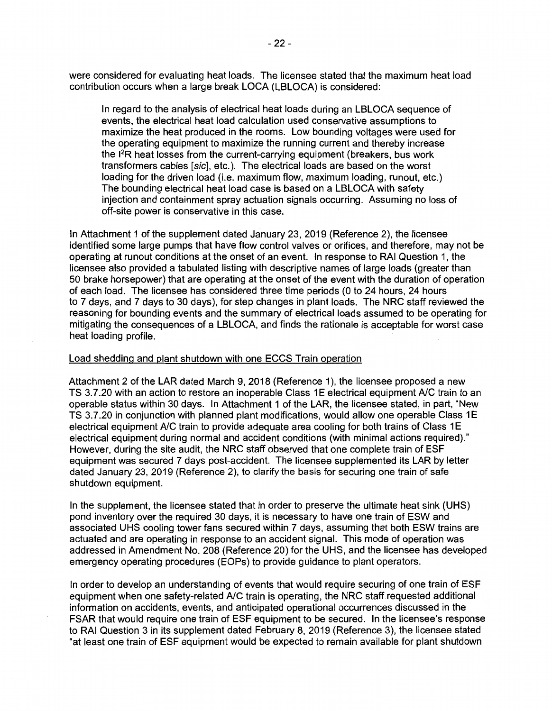were considered for evaluating heat loads. The licensee stated that the maximum heat load contribution occurs when a large break LOCA {LBLOCA) is considered:

In regard to the analysis of electrical heat loads during an LBLOCA sequence of events, the electrical heat load calculation used conservative assumptions to maximize the heat produced in the rooms. Low bounding voltages were used for the operating equipment to maximize the running current and thereby increase the 1 2R heat losses from the current-carrying equipment (breakers, bus work transformers cables [sic], etc.). The electrical loads are based on the worst loading for the driven load (i.e. maximum flow, maximum loading, runout, etc.) The bounding electrical heat load case is based on a LBLOCA with safety injection and containment spray actuation signals occurring. Assuming no loss of off-site power is conservative in this case.

In Attachment 1 of the supplement dated January 23, 2019 (Reference 2), the licensee identified some large pumps that have flow control valves or orifices, and therefore, may not be operating at runout conditions at the onset of an event. In response to RAI Question 1, the licensee also provided a tabulated listing with descriptive names of large loads (greater than 50 brake horsepower) that are operating at the onset of the event with the duration of operation of each load. The licensee has considered three time periods (0 to 24 hours, 24 hours to 7 days, and 7 days to 30 days), for step changes in plant loads. The NRC staff reviewed the reasoning for bounding events and the summary of electrical loads assumed to be operating for mitigating the consequences of a LBLOCA, and finds the rationale is acceptable for worst case heat loading profile.

#### Load shedding and plant shutdown with one ECCS Train operation

Attachment 2 of the LAR dated March 9, 2018 (Reference 1), the licensee proposed a new TS 3.7.20 with an action to restore an inoperable Class 1E electrical equipment A/C train to an operable status within 30 days. In Attachment 1 of the LAR, the licensee stated, in part, "New TS 3.7.20 in conjunction with planned plant modifications, would allow one operable Class 1E electrical equipment A/C train to provide adequate area cooling for both trains of Class 1E electrical equipment during normal and accident conditions (with minimal actions required)." However, during the site audit, the NRC staff observed that one complete train of ESF equipment was secured 7 days post-accident. The licensee supplemented its LAR by letter dated January 23, 2019 (Reference 2), to clarify the basis for securing one train of safe shutdown equipment.

In the supplement, the licensee stated that in order to preserve the ultimate heat sink (UHS) pond inventory over the required 30 days, it is necessary to have one train of ESW and associated UHS cooling tower fans secured within 7 days, assuming that both ESW trains are actuated and are operating in response to an accident signal. This mode of operation was addressed in Amendment No. 208 (Reference 20) for the UHS, and the licensee has developed emergency operating procedures (EOPs) to provide guidance to plant operators.

In order to develop an understanding of events that would require securing of one train of ESF equipment when one safety-related A/C train is operating, the NRC staff requested additional information on accidents, events, and anticipated operational occurrences discussed in the FSAR that would require one train of ESF equipment to be secured. In the licensee's response to RAI Question 3 in its supplement dated February 8, 2019 (Reference 3), the licensee stated "at least one train of ESF equipment would be expected to remain available for plant shutdown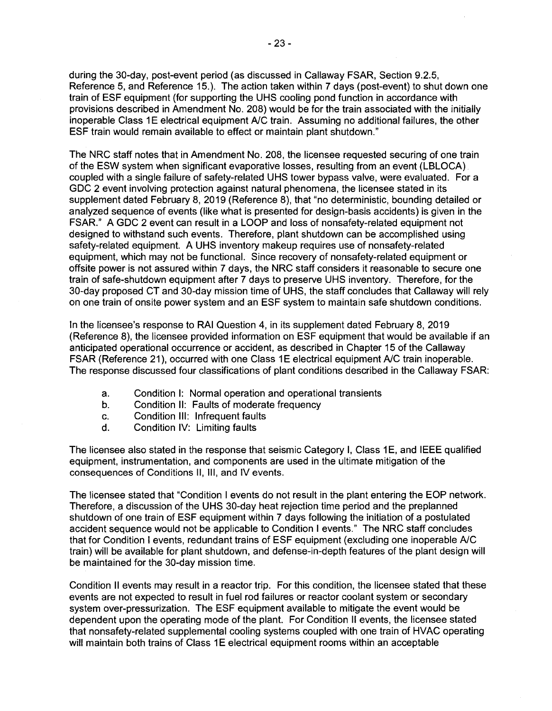during the 30-day, post-event period (as discussed in Callaway FSAR, Section 9.2.5, Reference 5, and Reference 15.). The action taken within 7 days (post-event) to shut down one train of ESF equipment (for supporting the UHS cooling pond function in accordance with provisions described in Amendment No. 208) would be for the train associated with the initially inoperable Class 1E electrical equipment A/C train. Assuming no additional failures, the other ESF train would remain available to effect or maintain plant shutdown."

The NRC staff notes that in Amendment No. 208, the licensee requested securing of one train of the ESW system when significant evaporative losses, resulting from an event (LBLOCA) coupled with a single failure of safety-related UHS tower bypass valve, were evaluated. For a GDC 2 event involving protection against natural phenomena, the licensee stated in its supplement dated February 8, 2019 (Reference 8), that "no deterministic, bounding detailed or analyzed sequence of events (like what is presented for design-basis accidents) is given in the FSAR." A GDC 2 event can result in a LOOP and loss of nonsafety-related equipment not designed to withstand such events. Therefore, plant shutdown can be accomplished using safety-related equipment. A UHS inventory makeup requires use of nonsafety-related equipment, which may not be functional. Since recovery of nonsafety-related equipment or offsite power is not assured within 7 days, the NRC staff considers it reasonable to secure one train of safe-shutdown equipment after 7 days to preserve UHS inventory. Therefore, for the 30-day proposed CT and 30-day mission time of UHS, the staff concludes that Callaway will rely on one train of onsite power system and an ESF system to maintain safe shutdown conditions.

In the licensee's response to RAI Question 4, in its supplement dated February 8, 2019 (Reference 8), the licensee provided information on ESF equipment that would be available if an anticipated operational occurrence or accident, as described in Chapter 15 of the Callaway FSAR (Reference 21), occurred with one Class 1E electrical equipment A/C train inoperable. The response discussed four classifications of plant conditions described in the Callaway FSAR:

- a. Condition I: Normal operation and operational transients
- b. Condition II: Faults of moderate frequency
- c. Condition Ill: Infrequent faults
- d. Condition IV: Limiting faults

The licensee also stated in the response that seismic Category I, Class 1E, and IEEE qualified equipment, instrumentation, and components are used in the ultimate mitigation of the consequences of Conditions II, Ill, and IV events.

The licensee stated that "Condition I events do not result in the plant entering the EOP network. Therefore, a discussion of the UHS 30-day heat rejection time period and the preplanned shutdown of one train of ESF equipment within 7 days following the initiation of a postulated accident sequence would not be applicable to Condition I events." The NRC staff concludes that for Condition I events, redundant trains of ESF equipment (excluding one inoperable A/C train) will be available for plant shutdown, and defense-in-depth features of the plant design will be maintained for the 30-day mission time.

Condition II events may result in a reactor trip. For this condition, the licensee stated that these events are not expected to result in fuel rod failures or reactor coolant system or secondary system over-pressurization. The ESF equipment available to mitigate the event would be dependent upon the operating mode of the plant. For Condition II events, the licensee stated that nonsafety-related supplemental cooling systems coupled with one train of HVAC operating will maintain both trains of Class 1E electrical equipment rooms within an acceptable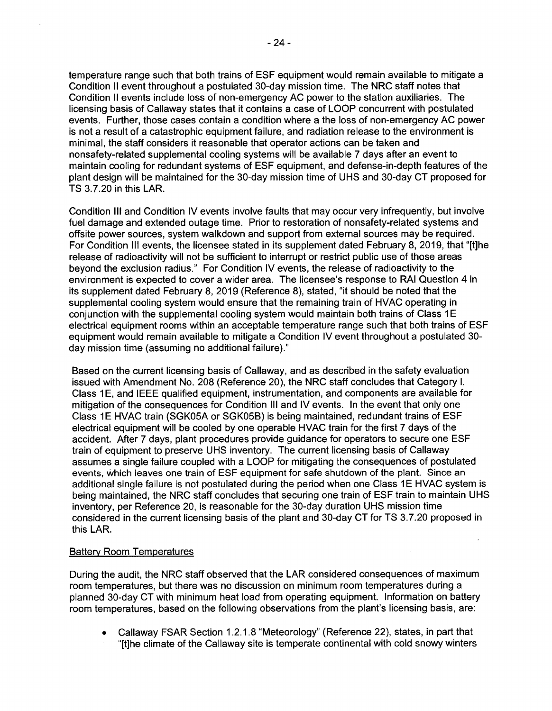temperature range such that both trains of ESF equipment would remain available to mitigate a Condition II event throughout a postulated 30-day mission time. The NRC staff notes that Condition II events include loss of non-emergency AC power to the station auxiliaries. The licensing basis of Callaway states that it contains a case of LOOP concurrent with postulated events. Further, those cases contain a condition where a the loss of non-emergency AC power is not a result of a catastrophic equipment failure, and radiation release to the environment is minimal, the staff considers it reasonable that operator actions can be taken and nonsafety-related supplemental cooling systems will be available 7 days after an event to maintain cooling for redundant systems of ESF equipment, and defense-in-depth features of the plant design will be maintained for the 30-day mission time of UHS and 30-day CT proposed for TS 3. 7 .20 in this LAR.

Condition Ill and Condition IV events involve faults that may occur very infrequently, but involve fuel damage and extended outage time. Prior to restoration of nonsafety-related systems and offsite power sources, system walkdown and support from external sources may be required. For Condition Ill events, the licensee stated in its supplement dated February 8, 2019, that "[t]he release of radioactivity will not be sufficient to interrupt or restrict public use of those areas beyond the exclusion radius." For Condition IV events, the release of radioactivity to the environment is expected to cover a wider area. The licensee's response to RAI Question 4 in its supplement dated February 8, 2019 (Reference 8), stated, "it should be noted that the supplemental cooling system would ensure that the remaining train of HVAC operating in conjunction with the supplemental cooling system would maintain both trains of Class 1E electrical equipment rooms within an acceptable temperature range such that both trains of ESF equipment would remain available to mitigate a Condition IV event throughout a postulated 30 day mission time (assuming no additional failure)."

Based on the current licensing basis of Callaway, and as described in the safety evaluation issued with Amendment No. 208 (Reference 20), the NRC staff concludes that Category I, Class 1 E, and IEEE qualified equipment, instrumentation, and components are available for mitigation of the consequences for Condition Ill and IV events. In the event that only one Class 1E HVAC train (SGK05A or SGK05B) is being maintained, redundant trains of ESF electrical equipment will be cooled by one operable HVAC train for the first 7 days of the accident. After 7 days, plant procedures provide guidance for operators to secure one ESF train of equipment to preserve UHS inventory. The current licensing basis of Callaway assumes a single failure coupled with a LOOP for mitigating the consequences of postulated events, which leaves one train of ESF equipment for safe shutdown of the plant. Since an additional single failure is not postulated during the period when one Class 1E HVAC system is being maintained, the NRC staff concludes that securing one train of ESF train to maintain UHS inventory, per Reference 20, is reasonable for the 30-day duration UHS mission time considered in the current licensing basis of the plant and 30-day CT for TS 3.7.20 proposed in this LAR.

## Battery Room Temperatures

During the audit, the NRC staff observed that the LAR considered consequences of maximum room temperatures, but there was no discussion on minimum room temperatures during a planned 30-day CT with minimum heat load from operating equipment. Information on battery room temperatures, based on the following observations from the plant's licensing basis, are:

- Callaway FSAR Section 1.2.1.8 "Meteorology" (Reference 22), states, in part that
- "[t]he climate of the Callaway site is temperate continental with cold snowy winters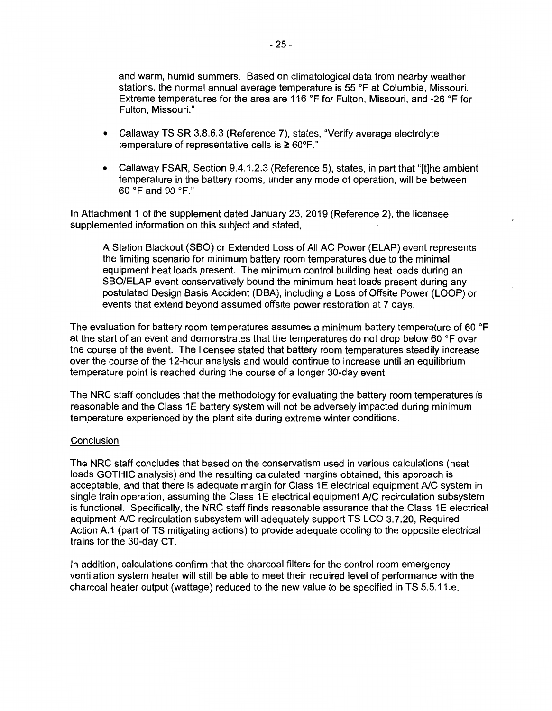and warm, humid summers. Based on climatological data from nearby weather stations, the normal annual average temperature is 55 °F at Columbia, Missouri. Extreme temperatures for the area are 116 °F for Fulton, Missouri, and -26 °F for Fulton, Missouri."

- Callaway TS SR 3.8.6.3 (Reference 7), states, "Verify average electrolyte temperature of representative cells is  $\geq 60^{\circ}$ F."
- Callaway FSAR, Section 9.4.1.2.3 (Reference 5), states, in part that "[t]he ambient temperature in the battery rooms, under any mode of operation, will be between 60 °F and 90 °F."

In Attachment 1 of the supplement dated January 23, 2019 (Reference 2), the licensee supplemented information on this subject and stated,

A Station Blackout (SBO) or Extended Loss of All AC Power (ELAP) event represents the limiting scenario for minimum battery room temperatures due to the minimal equipment heat loads present. The minimum control building heat loads during an SBO/ELAP event conservatively bound the minimum heat loads present during any postulated Design Basis Accident (OBA), including a Loss of Offsite Power (LOOP) or events that extend beyond assumed offsite power restoration at 7 days.

The evaluation for battery room temperatures assumes a minimum battery temperature of 60 °F at the start of an event and demonstrates that the temperatures do not drop below 60 °F over the course of the event. The licensee stated that battery room temperatures steadily increase over the course of the 12-hour analysis and would continue to increase until an equilibrium temperature point is reached during the course of a longer 30-day event.

The NRC staff concludes that the methodology for evaluating the battery room temperatures is reasonable and the Class 1E battery system will not be adversely impacted during minimum temperature experienced by the plant site during extreme winter conditions.

#### **Conclusion**

The NRC staff concludes that based on the conservatism used in various calculations (heat loads GOTHIC analysis) and the resulting calculated margins obtained, this approach is acceptable, and that there is adequate margin for Class 1 E electrical equipment A/C system in single train operation, assuming the Class 1E electrical equipment A/C recirculation subsystem is functional. Specifically, the NRC staff finds reasonable assurance that the Class 1E electrical equipment A/C recirculation subsystem will adequately support TS LCO 3.7.20, Required Action A.1 (part of TS mitigating actions) to provide adequate cooling to the opposite electrical trains for the 30-day CT.

In addition, calculations confirm that the charcoal filters for the control room emergency ventilation system heater will still be able to meet their required level of performance with the charcoal heater output (wattage) reduced to the new value to be specified in TS 5.5.11.e.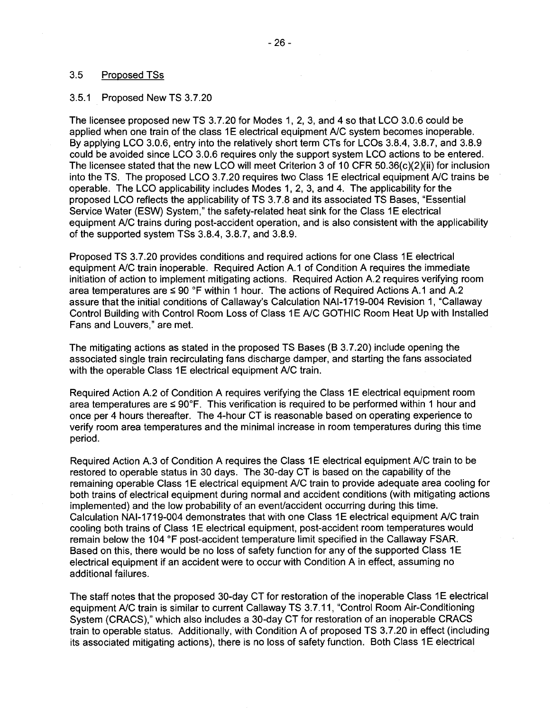## 3.5 Proposed TSs

#### 3.5.1 Proposed New TS 3.7.20

The licensee proposed new TS 3.7.20 for Modes 1, 2, 3, and 4 so that LCO 3.0.6 could be applied when one train of the class 1E electrical equipment A/C system becomes inoperable. By applying LCO 3.0.6, entry into the relatively short term CTs for LCOs 3.8.4, 3.8.7, and 3.8.9 could be avoided since LCO 3.0.6 requires only the support system LCO actions to be entered. The licensee stated that the new LCO will meet Criterion 3 of 10 CFR 50.36(c)(2)(ii) for inclusion into the TS. The proposed LCO 3.7.20 requires two Class 1E electrical equipment A/C trains be operable. The LCO applicability includes Modes 1, 2, 3, and 4. The applicability for the proposed LCO reflects the applicability of TS 3.7.8 and its associated TS Bases, "Essential Service Water (ESW) System," the safety-related heat sink for the Class 1E electrical equipment A/C trains during post-accident operation, and is also consistent with the applicability of the supported system TSs 3.8.4, 3.8.7, and 3.8.9.

Proposed TS 3.7.20 provides conditions and required actions for one Class 1E electrical equipment A/C train inoperable. Required Action A.1 of Condition A requires the immediate initiation of action to implement mitigating actions. Required Action A.2 requires verifying room area temperatures are  $\leq 90$  °F within 1 hour. The actions of Required Actions A.1 and A.2 assure that the initial conditions of Callaway's Calculation NAl-1719-004 Revision 1, "Callaway Control Building with Control Room Loss of Class 1E A/C GOTHIC Room Heat Up with Installed Fans and Louvers," are met.

The mitigating actions as stated in the proposed TS Bases (B 3.7.20) include opening the associated single train recirculating fans discharge damper, and starting the fans associated with the operable Class 1E electrical equipment A/C train.

Required Action A.2 of Condition A requires verifying the Class 1E electrical equipment room area temperatures are  $\leq 90^{\circ}$ F. This verification is required to be performed within 1 hour and once per 4 hours thereafter. The 4-hour CT is reasonable based on operating experience to verify room area temperatures and the minimal increase in room temperatures during this time period.

Required Action A.3 of Condition A requires the Class 1E electrical equipment A/C train to be restored to operable status in 30 days. The 30-day CT is based on the capability of the remaining operable Class 1E electrical equipment A/C train to provide adequate area cooling for both trains of electrical equipment during normal and accident conditions (with mitigating actions implemented) and the low probability of an event/accident occurring during this time. Calculation NAI-1719-004 demonstrates that with one Class 1E electrical equipment A/C train cooling both trains of Class 1 E electrical equipment, post-accident room temperatures would remain below the 104 °F post-accident temperature limit specified in the Callaway FSAR. Based on this, there would be no loss of safety function for any of the supported Class 1E electrical equipment if an accident were to occur with Condition A in effect, assuming no additional failures.

The staff notes that the proposed 30-day CT for restoration of the inoperable Class 1E electrical equipment A/C train is similar to current Callaway TS 3.7.11, "Control Room Air-Conditioning System (CRACS)," which also includes a 30-day CT for restoration of an inoperable CRACS train to operable status. Additionally, with Condition A of proposed TS 3.7.20 in effect (including its associated mitigating actions), there is no loss of safety function. Both Class 1E electrical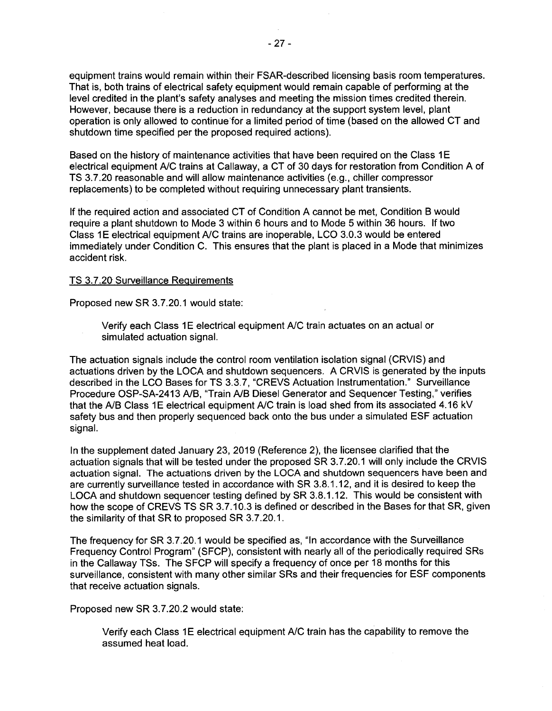equipment trains would remain within their FSAR-described licensing basis room temperatures. That is, both trains of electrical safety equipment would remain capable of performing at the level credited in the plant's safety analyses and meeting the mission times credited therein. However, because there is a reduction in redundancy at the support system level, plant operation is only allowed to continue'for a limited period of time (based on the allowed CT and shutdown time specified per the proposed required actions).

Based on the history of maintenance activities that have been required on the Class 1E electrical equipment A/C trains at Callaway, a CT of 30 days for restoration from Condition A of TS 3.7.20 reasonable and will allow maintenance activities (e.g., chiller compressor replacements) to be completed without requiring unnecessary plant transients.

If the required action and associated CT of Condition A cannot be met, Condition B would require a plant shutdown to Mode 3 within 6 hours and to Mode 5 within 36 hours. If two Class 1E electrical equipment A/C trains are inoperable, LCO 3.0.3 would be entered immediately under Condition C. This ensures that the plant is placed in a Mode that minimizes accident risk.

## TS 3.7.20 Surveillance Requirements

Proposed new SR 3. 7.20.1 would state:

Verify each Class 1E electrical equipment A/C train actuates on an actual or simulated actuation signal.

The actuation signals include the control room ventilation isolation signal (CRVIS) and actuations driven by the LOCA and shutdown sequencers. A CRVIS is generated by the inputs described in the LCO Bases for TS 3.3.7, "CREVS Actuation Instrumentation." Surveillance Procedure OSP-SA-2413 A/B, "Train A/B Diesel Generator and Sequencer Testing," verifies that the A/B Class 1E electrical equipment A/C train is load shed from its associated 4.16 kV safety bus and then properly sequenced back onto the bus under a simulated ESF actuation signal.

In the supplement dated January 23, 2019 (Reference 2), the licensee clarified that the actuation signals that will be tested under the proposed SR 3.7.20.1 will only include the CRVIS actuation signal. The actuations driven by the LOCA and shutdown sequencers have been and are currently surveillance tested in accordance with SR 3.8.1.12, and it is desired to keep the LOCA and shutdown sequencer testing defined by SR 3.8.1.12. This would be consistent with how the scope of CREVS TS SR 3.7.10.3 is defined or described in the Bases for that SR, given the similarity of that SR to proposed SR 3.7.20.1.

The frequency for SR 3.7.20.1 would be specified as, "In accordance with the Surveillance Frequency Control Program" (SFCP), consistent with nearly all of the periodically required SRs in the Callaway TSs. The SFCP will specify a frequency of once per 18 months for this surveillance, consistent with many other similar SRs and their frequencies for ESF components that receive actuation signals.

Proposed new SR 3.7.20.2 would state:

Verify each Class 1E electrical equipment A/C train has the capability to remove the assumed heat load.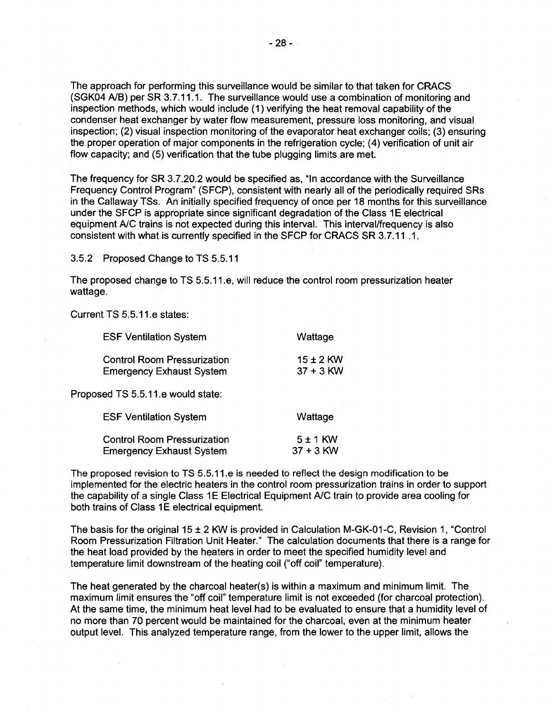The approach for performing this surveillance would be similar to that taken for CRACS (SGK04 A/B) per SR 3.7.11.1. The surveillance would use a combination of monitoring and inspection methods, which would include ( 1) verifying the heat removal capability of the condenser heat exchanger by water flow measurement, pressure loss monitoring, and visual inspection; (2) visual inspection monitoring of the evaporator heat exchanger coils; (3) ensuring the proper operation of major components in the refrigeration cycle; (4) verification of unit air flow capacity; and (5) verification that the tube plugging limits are met.

The frequency for SR 3.7.20.2 would be specified as, "In accordance with the Surveillance Frequency Control Program" (SFCP), consistent with nearly all of the periodically required SRs in the Callaway TSs. An initially specified frequency of once per 18 months for this surveillance under the SFCP is appropriate since significant degradation of the Class 1E electrical equipment A/C trains is not expected during this interval. This interval/frequency is also consistent with what is currently specified in the SFCP for CRACS SR 3.7.11 .1.

3.5.2 Proposed Change to TS 5.5.11

The proposed change to TS 5.5.11.e, will reduce the control room pressurization heater wattage.

Current TS 5.5.11.e states:

| <b>ESF Ventilation System</b>                                         | Wattage                     |
|-----------------------------------------------------------------------|-----------------------------|
| <b>Control Room Pressurization</b><br><b>Emergency Exhaust System</b> | 15 ± 2 KW<br>$37 + 3$ KW    |
| Proposed TS 5.5.11.e would state:                                     |                             |
| <b>ESF Ventilation System</b>                                         | Wattage                     |
| <b>Control Room Pressurization</b><br><b>Emergency Exhaust System</b> | $5 \pm 1$ KW<br>$37 + 3$ KW |

The proposed revision to TS 5.5.11.e is needed to reflect the design modification to be implemented for the electric heaters in the control room pressurization trains in order to support the capability of a single Class 1E Electrical Equipment A/C train to provide area cooling for both trains of Class 1E electrical equipment.

The basis for the original 15 ± 2 KW is provided in Calculation M-GK-01-C, Revision 1, "Control Room Pressurization Filtration Unit Heater." The calculation documents that there is a range for the heat load provided by the heaters in order to meet the specified humidity level and temperature limit downstream of the heating coil ("off coil" temperature).

The heat generated by the charcoal heater(s) is within a maximum and minimum limit. The maximum limit ensures the "off coil" temperature limit is not exceeded (for charcoal protection). At the same time, the minimum heat level had to be evaluated to ensure that a humidity level of no more than 70 percent would be maintained for the charcoal, even at the minimum heater output level. This analyzed temperature range, from the lower to the upper limit, allows the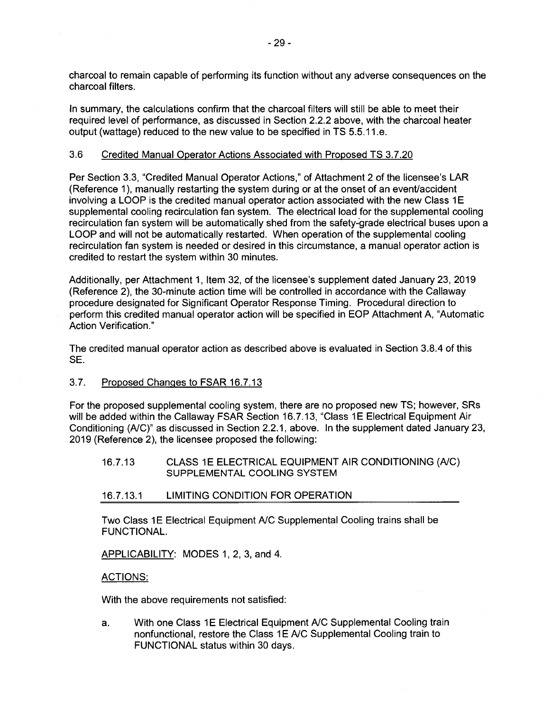charcoal to remain capable of performing its function without any adverse consequences on the charcoal filters.

In summary, the calculations confirm that the charcoal filters will still be able to meet their required level of performance, as discussed in Section 2.2.2 above, with the charcoal heater output (wattage) reduced to the new value to be specified in TS 5.5.11.e.

## 3.6 Credited Manual Operator Actions Associated with Proposed TS 3.7.20

Per Section 3.3, "Credited Manual Operator Actions," of Attachment 2 of the licensee's LAR (Reference 1), manually restarting the system during or at the onset of an event/accident involving a LOOP is the credited manual operator action associated with the new Class 1E supplemental cooling recirculation fan system. The electrical load for the supplemental cooling recirculation fan system will be automatically shed from the safety-grade electrical buses upon a LOOP and will not be automatically restarted. When operation of the supplemental cooling recirculation fan system is needed or desired in this circumstance, a manual operator action is credited to restart the system within 30 minutes.

Additionally, per Attachment 1, Item 32, of the licensee's supplement dated January 23, 2019 (Reference 2), the 30-minute action time will be controlled in accordance with the Callaway procedure designated for Significant Operator Response Timing. Procedural direction to perform this credited manual operator action will be specified in EOP Attachment A, "Automatic Action Verification."

The credited manual operator action as described above is evaluated in Section 3.8.4 of this SE.

3.7. Proposed Changes to FSAR 16.7.13

For the proposed supplemental cooling system, there are no proposed new TS; however, SRs will be added within the Callaway FSAR Section 16.7.13, "Class 1E Electrical Equipment Air Conditioning *(NC)"* as discussed in Section 2.2.1, above. In the supplement dated January 23, 2019 (Reference 2), the licensee proposed the following:

16.7.13 CLASS 1 E ELECTRICAL EQUIPMENT AIR CONDITIONING *(NC)*  SUPPLEMENTAL COOLING SYSTEM

#### 16.7.13.1 LIMITING CONDITION FOR OPERATION

Two Class 1E Electrical Equipment A/C Supplemental Cooling trains shall be FUNCTIONAL.

APPLICABILITY: MODES 1, 2, 3, and 4.

## ACTIONS:

With the above requirements not satisfied:

a. With one Class 1E Electrical Equipment A/C Supplemental Cooling train nonfunctional, restore the Class 1E A/C Supplemental Cooling train to FUNCTIONAL status within 30 days.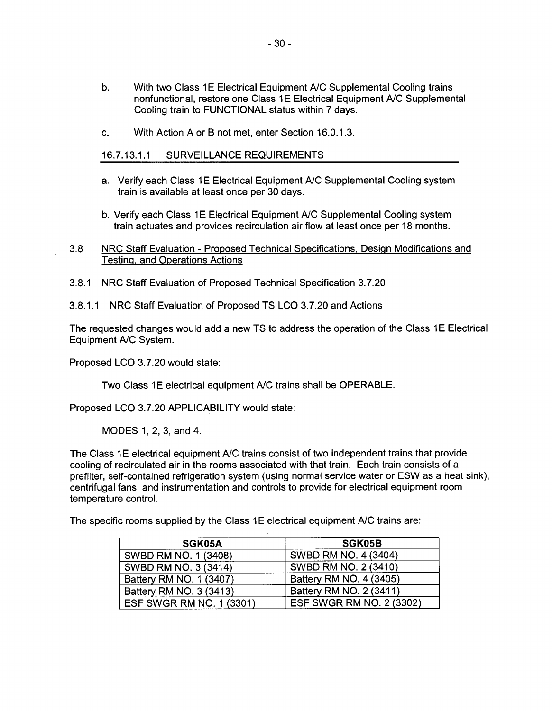- b. With two Class 1 E Electrical Equipment A/C Supplemental Cooling trains nonfunctional, restore one Class 1E Electrical Equipment A/C Supplemental Cooling train to FUNCTIONAL status within 7 days.
- c. With Action A or B not met, enter Section 16.0.1.3.

## 16.7.13.1.1 SURVEILLANCE REQUIREMENTS

- a. Verify each Class 1E Electrical Equipment A/C Supplemental Cooling system train is available at least once per 30 days.
- b. Verify each Class 1E Electrical Equipment A/C Supplemental Cooling system train actuates and provides recirculation air flow at least once per 18 months.
- 3.8 NRC Staff Evaluation Proposed Technical Specifications, Design Modifications and Testing, and Operations Actions
- 3.8.1 NRC Staff Evaluation of Proposed Technical Specification 3. 7.20
- 3.8.1.1 NRC Staff Evaluation of Proposed TS LCO 3.7.20 and Actions

The requested changes would add a new TS to address the operation of the Class 1E Electrical Equipment A/C System.

Proposed LCO 3. 7 .20 would state:

Two Class 1E electrical equipment A/C trains shall be OPERABLE.

Proposed LCO 3.7.20 APPLICABILITY would state:

MODES 1, 2, 3, and 4.

The Class 1E electrical equipment A/C trains consist of two independent trains that provide cooling of recirculated air in the rooms associated with that train. Each train consists of a prefilter, self-contained refrigeration system (using normal service water or ESW as a heat sink), centrifugal fans, and instrumentation and controls to provide for electrical equipment room temperature control.

The specific rooms supplied by the Class 1E electrical equipment A/C trains are:

| SGK05A                   | SGK05B                   |
|--------------------------|--------------------------|
| SWBD RM NO. 1 (3408)     | SWBD RM NO. 4 (3404)     |
| SWBD RM NO. 3 (3414)     | SWBD RM NO. 2 (3410)     |
| Battery RM NO. 1 (3407)  | Battery RM NO. 4 (3405)  |
| Battery RM NO. 3 (3413)  | Battery RM NO. 2 (3411)  |
| ESF SWGR RM NO. 1 (3301) | ESF SWGR RM NO. 2 (3302) |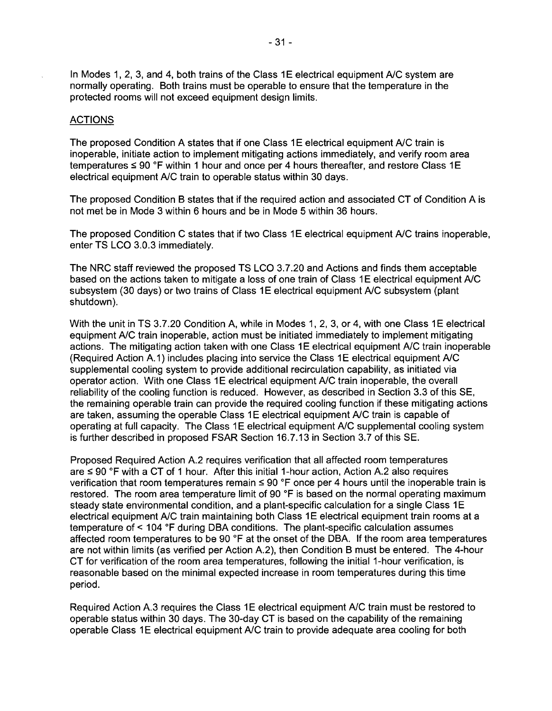In Modes 1, 2, 3, and 4, both trains of the Class 1E electrical equipment A/C system are normally operating. Both trains must be operable to ensure that the temperature in the protected rooms will not exceed equipment design limits.

#### **ACTIONS**

The proposed Condition A states that if one Class 1E electrical equipment A/C train is inoperable, initiate action to implement mitigating actions immediately, and verify room area temperatures  $\leq 90$  °F within 1 hour and once per 4 hours thereafter, and restore Class 1E electrical equipment A/C train to operable status within 30 days.

The proposed Condition B states that if the required action and associated CT of Condition A is not met be in Mode 3 within 6 hours and be in Mode 5 within 36 hours.

The proposed Condition C states that if two Class 1E electrical equipment A/C trains inoperable, enter TS LCO 3.0.3 immediately.

The NRC staff reviewed the proposed TS LCO 3.7.20 and Actions and finds them acceptable based on the actions taken to mitigate a loss of one train of Class 1 E electrical equipment A/C subsystem (30 days) or two trains of Class 1E electrical equipment A/C subsystem (plant shutdown).

With the unit in TS 3.7.20 Condition A, while in Modes 1, 2, 3, or 4, with one Class 1E electrical equipment A/C train inoperable, action must be initiated immediately to implement mitigating actions. The mitigating action taken with one Class 1E electrical equipment A/C train inoperable (Required Action A.1) includes placing into service the Class 1 E electrical equipment A/C supplemental cooling system to provide additional recirculation capability, as initiated via operator action. With one Class 1E electrical equipment A/C train inoperable, the overall reliability of the cooling function is reduced. However, as described in Section 3.3 of this SE, the remaining operable train can provide the required cooling function if these mitigating actions are taken, assuming the operable Class 1E electrical equipment A/C train is capable of operating at full capacity. The Class 1E electrical equipment A/C supplemental cooling system is further described in proposed FSAR Section 16.7.13 in Section 3.7 of this SE.

Proposed Required Action A.2 requires verification that all affected room temperatures are  $\leq$  90 °F with a CT of 1 hour. After this initial 1-hour action, Action A.2 also requires verification that room temperatures remain  $\leq 90$  °F once per 4 hours until the inoperable train is restored. The room area temperature limit of 90 °F is based on the normal operating maximum steady state environmental condition, and a plant-specific calculation for a single Class 1E electrical equipment A/C train maintaining both Class 1E electrical equipment train rooms at a temperature of< 104 °F during OBA conditions. The plant-specific calculation assumes affected room temperatures to be 90 °F at the onset of the DBA. If the room area temperatures are not within limits (as verified per Action A.2), then Condition B must be entered. The 4-hour CT for verification of the room area temperatures, following the initial 1-hour verification, is reasonable based on the minimal expected increase in room temperatures during this time period.

Required Action A.3 requires the Class 1E electrical equipment A/C train must be restored to operable status within 30 days. The 30-day CT is based on the capability of the remaining operable Class 1E electrical equipment A/C train to provide adequate area cooling for both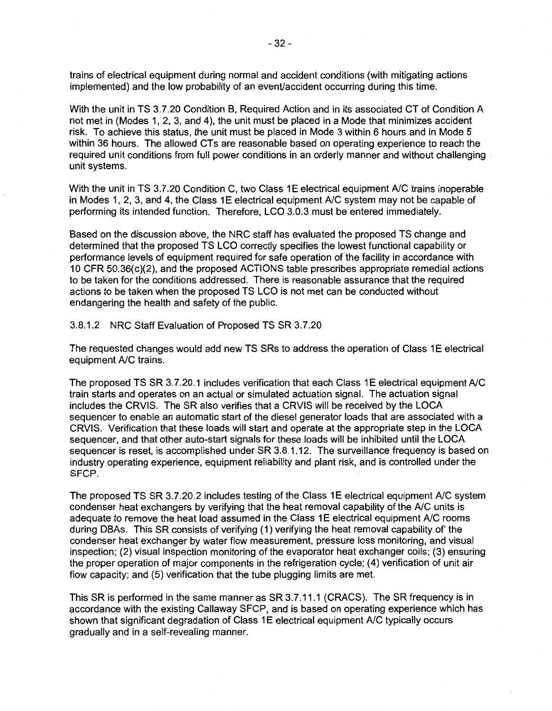trains of electrical equipment during normal and accident conditions (with mitigating actions implemented) and the low probability of an event/accident occurring during this time.

With the unit in TS 3.7.20 Condition B, Required Action and in its associated CT of Condition A not met in (Modes 1, 2, 3, and 4), the unit must be placed in a Mode that minimizes accident risk. To achieve this status, the unit must be placed in Mode 3 within 6 hours and in Mode 5 within 36 hours. The allowed CTs are reasonable based on operating experience to reach the required unit conditions from full power conditions in an orderly manner and without challenging unit systems.

With the unit in TS 3.7.20 Condition C, two Class 1E electrical equipment A/C trains inoperable in Modes 1, 2, 3, and 4, the Class 1 E electrical equipment  $A/C$  system may not be capable of performing its intended function. Therefore, LCO 3.0.3 must be entered immediately.

Based on the discussion above, the NRC staff has evaluated the proposed TS change and determined that the proposed TS LCO correctly specifies the lowest functional capability or performance levels of equipment required for safe operation of the facility in accordance with 10 CFR 50.36(c)(2), and the proposed ACTIONS table prescribes appropriate remedial actions to be taken for the conditions addressed. There is reasonable assurance that the required actions to be taken when the proposed TS LCO is not met can be conducted without endangering the health and safety of the public.

#### 3.8.1.2 NRC Staff Evaluation of Proposed TS SR 3.7.20

The requested changes would add new TS SRs to address the operation of Class 1E electrical equipment A/C trains.

The proposed TS SR 3.7.20.1 includes verification that each Class 1E electrical equipment A/C train starts and operates on an actual or simulated actuation signal. The actuation signal includes the CRVIS. The SR also verifies that a CRVIS will be received by the LOCA sequencer to enable an automatic start of the diesel generator loads that are associated with a CRVIS. Verification that these loads will start and operate at the appropriate step in the LOCA sequencer, and that other auto-start signals for these loads will be inhibited until the LOCA sequencer is reset, is accomplished under SR 3.8.1.12. The surveillance frequency is based on industry operating experience, equipment reliability and plant risk, and is controlled under the SFCP.

The proposed TS SR 3.7.20.2 includes testing of the Class 1E electrical equipment A/C system condenser heat exchangers by verifying that the heat removal capability of the A/C units is adequate to remove the heat load assumed in the Class 1E electrical equipment A/C rooms during DBAs. This SR consists of verifying (1) verifying the heat removal capability of' the condenser heat exchanger by water flow measurement, pressure loss monitoring, and visual inspection; (2) visual inspection monitoring of the evaporator heat exchanger coils; (3) ensuring the proper operation of major components in the refrigeration cycle; (4) verification of unit air flow capacity; and (5) verification that the tube plugging limits are met.

This SR is performed in the same manner as SR 3.7.11.1 (CRACS). The SR frequency is in accordance with the existing Callaway SFCP, and is based on operating experience which has shown that significant degradation of Class 1E electrical equipment A/C typically occurs gradually and in a self-revealing manner.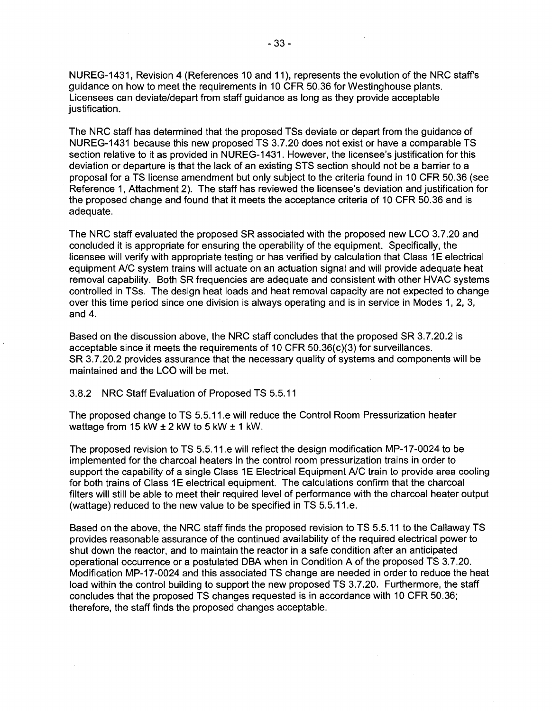NUREG-1431, Revision 4 (References 10 and 11 ), represents the evolution of the NRC staffs guidance on how to meet the requirements in 10 CFR 50.36 for Westinghouse plants. Licensees can deviate/depart from staff guidance as long as they provide acceptable justification.

The NRC staff has determined that the proposed TSs deviate or depart from the guidance of NUREG-1431 because this new proposed TS 3.7.20 does not exist or have a comparable TS section relative to it as provided in NUREG-1431. However, the licensee's justification for this deviation or departure is that the lack of an existing STS section should not be a barrier to a proposal for a TS license amendment but only subject to the criteria found in 10 CFR 50.36 (see Reference 1, Attachment 2). The staff has reviewed the licensee's deviation and justification for the proposed change and found that it meets the acceptance criteria of 10 CFR 50.36 and is adequate.

The NRC staff evaluated the proposed SR associated with the proposed new LCO 3.7.20 and concluded it is appropriate for ensuring the operability of the equipment. Specifically, the licensee will verify with appropriate testing or has verified by calculation that Class 1E electrical equipment A/C system trains will actuate on an actuation signal and will provide adequate heat removal capability. Both SR frequencies are adequate and consistent with other HVAC systems controlled in TSs. The design heat loads and heat removal capacity are not expected to change over this time period since one division is always operating and is in service in Modes 1, 2, 3, and 4.

Based on the discussion above, the NRC staff concludes that the proposed SR 3.7.20.2 is acceptable since it meets the requirements of 10 CFR 50.36(c)(3) for surveillances. SR 3.7.20.2 provides assurance that the necessary quality of systems and components will be maintained and the LCO will be met.

3.8.2 NRC Staff Evaluation of Proposed TS 5.5.11

The proposed change to TS 5.5.11.e will reduce the Control Room Pressurization heater wattage from 15 kW  $\pm$  2 kW to 5 kW  $\pm$  1 kW.

The proposed revision to TS 5.5.11.e will reflect the design modification MP-17-0024 to be implemented for the charcoal heaters in the control room pressurization trains in order to support the capability of a single Class 1E Electrical Equipment A/C train to provide area cooling for both trains of Class 1E electrical equipment. The calculations confirm that the charcoal filters will still be able to meet their required level of performance with the charcoal heater output (wattage) reduced to the new value to be specified in TS 5.5.11.e.

Based on the above, the NRC staff finds the proposed revision to TS 5.5.11 to the Callaway TS provides reasonable assurance of the continued availability of the required electrical power to shut down the reactor, and to maintain the reactor in a safe condition after an anticipated operational occurrence or a postulated DBA when in Condition A of the proposed TS 3.7.20. Modification MP-17-0024 and this associated TS change are needed in order to reduce the heat load within the control building to support the new proposed TS 3.7.20. Furthermore, the staff concludes that the proposed TS changes requested is in accordance with 10 CFR 50.36; therefore, the staff finds the proposed changes acceptable.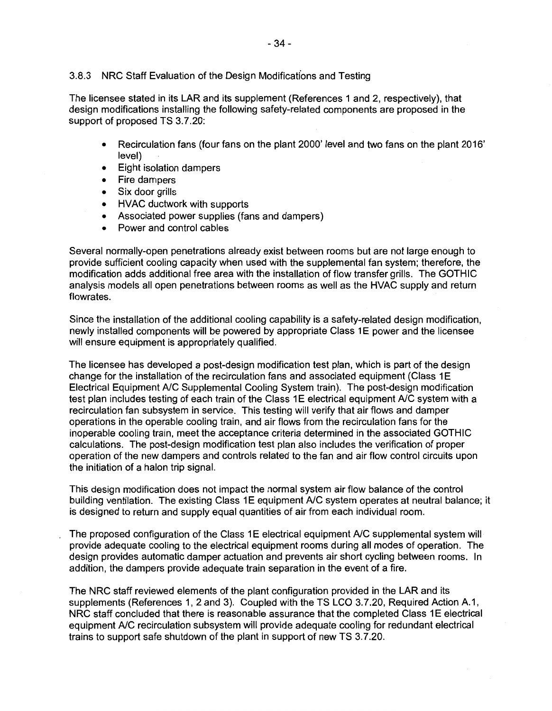## 3.8.3 NRC Staff Evaluation of the Design Modifications and Testing

The licensee stated in its LAR and its supplement (References 1 and 2, respectively), that design modifications installing the following safety-related components are proposed in the support of proposed TS 3.7.20:

- Recirculation fans (four fans on the plant 2000' level and two fans on the plant 2016' level)
- Eight isolation dampers
- Fire dampers
- Six door grills
- HVAC ductwork with supports
- Associated power supplies (fans and dampers)
- Power and control cables

Several normally-open penetrations already exist between rooms but are not large enough to provide sufficient cooling capacity when used with the supplemental fan system; therefore, the modification adds additional free area with the installation of flow transfer grills. The GOTHIC analysis models all open penetrations between rooms as well as the HVAC supply and return flowrates.

Since the installation of the additional cooling capability is a safety-related design modification, newly installed components will be powered by appropriate Class 1E power and the licensee will ensure equipment is appropriately qualified.

The licensee has developed a post-design modification test plan, which is part of the design change for the installation of the recirculation fans and associated equipment (Class 1E Electrical Equipment A/C Supplemental Cooling System train). The post-design modification test plan includes testing of each train of the Class 1E electrical equipment A/C system with a recirculation fan subsystem in service. This testing will verify that air flows and damper operations in the operable cooling train, and air flows from the recirculation fans for the inoperable cooling train, meet the acceptance criteria determined in the associated GOTHIC calculations. The post-design modification test plan also includes the verification of proper operation of the new dampers and controls related to the fan and air flow control circuits upon the initiation of a halon trip signal.

This design modification does not impact the normal system air flow balance of the control building ventilation. The existing Class 1E equipment A/C system operates at neutral balance; it is designed to return and supply equal quantities of air from each individual room.

The proposed configuration of the Class 1E electrical equipment A/C supplemental system will provide adequate cooling to the electrical equipment rooms during all modes of operation. The design provides automatic damper actuation and prevents air short cycling between rooms. In addition, the dampers provide adequate train separation in the event of a fire.

The NRC staff reviewed elements of the plant configuration provided in the LAR and its supplements (References 1, 2 and 3). Coupled with the TS LCO 3.7.20, Required Action A.1, NRC staff concluded that there is reasonable assurance that the completed Class 1E electrical equipment A/C recirculation subsystem will provide adequate cooling for redundant electrical trains to support safe shutdown of the plant in support of new TS 3.7.20.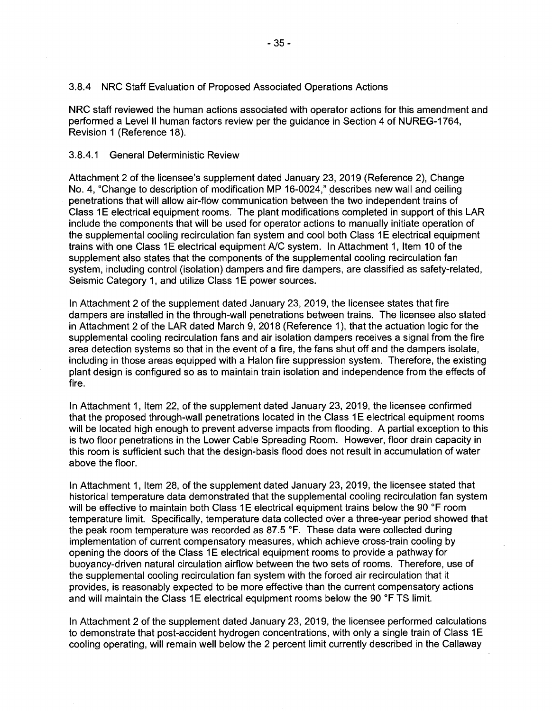#### 3.8.4 NRC Staff Evaluation of Proposed Associated Operations Actions

NRC staff reviewed the human actions associated with operator actions for this amendment and performed a Level II human factors review per the guidance in Section 4 of NUREG-1764, Revision 1 (Reference 18).

#### 3.8.4.1 General Deterministic Review

Attachment 2 of the licensee's supplement dated January 23, 2019 (Reference 2), Change No. 4, "Change to description of modification MP 16-0024," describes new wall and ceiling penetrations that will allow air-flow communication between the two independent trains of Class 1E electrical equipment rooms. The plant modifications completed in support of this LAR include the components that will be used for operator actions to manually initiate operation of the supplemental cooling recirculation fan system and cool both Class 1E electrical equipment trains with one Class 1E electrical equipment A/C system. In Attachment 1, Item 10 of the supplement also states that the components of the supplemental cooling recirculation fan system, including control (isolation) dampers and fire dampers, are classified as safety-related, Seismic Category 1, and utilize Class 1E power sources.

In Attachment 2 of the supplement dated January 23, 2019, the licensee states that fire dampers are installed in the through-wall penetrations between trains. The licensee also stated in Attachment 2 of the LAR dated March 9, 2018 (Reference 1), that the actuation logic for the supplemental cooling recirculation fans and air isolation dampers receives a signal from the fire area detection systems so that in the event of a fire, the fans shut off and the dampers isolate, including in those areas equipped with a Halon fire suppression system. Therefore, the existing plant design is configured so as to maintain train isolation and independence from the effects of fire.

In Attachment 1, Item 22, of the supplement dated January 23, 2019, the licensee confirmed that the proposed through-wall penetrations located in the Class 1E electrical equipment rooms will be located high enough to prevent adverse impacts from flooding. A partial exception to this is two floor penetrations in the Lower Cable Spreading Room. However, floor drain capacity in this room is sufficient such that the design-basis flood does not result in accumulation of water above the floor.

In Attachment 1, Item 28, of the supplement dated January 23, 2019, the licensee stated that historical temperature data demonstrated that the supplemental cooling recirculation fan system will be effective to maintain both Class 1E electrical equipment trains below the 90 °F room temperature limit. Specifically, temperature data collected over a three-year period showed that the peak room temperature was recorded as 87.5 °F. These data were collected during implementation of current compensatory measures, which achieve cross-train cooling by opening the doors of the Class 1E electrical equipment rooms to provide a pathway for buoyancy-driven natural circulation airflow between the two sets of rooms. Therefore, use of the supplemental cooling recirculation fan system with the forced air recirculation that it provides, is reasonably expected to be more effective than the current compensatory actions and will maintain the Class 1E electrical equipment rooms below the 90 °F TS limit.

In Attachment 2 of the supplement dated January 23, 2019, the licensee performed calculations to demonstrate that post-accident hydrogen concentrations, with only a single train of Class 1E cooling operating, will remain well below the 2 percent limit currently described in the Callaway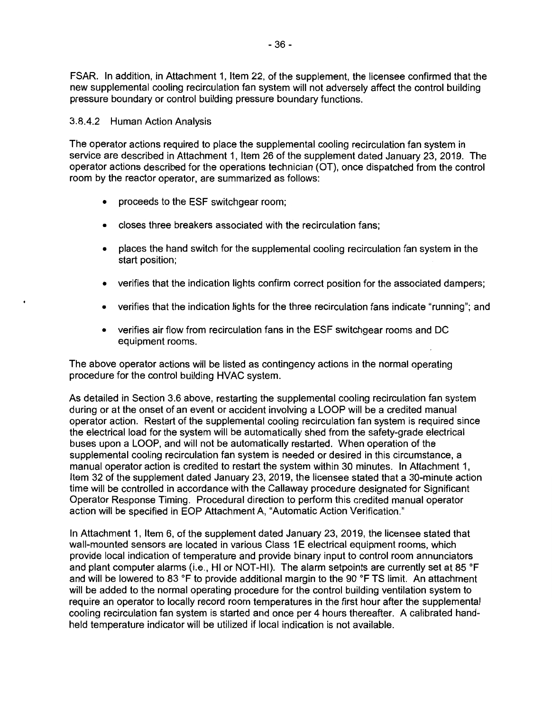FSAR. In addition, in Attachment 1, Item 22, of the supplement, the licensee confirmed that the new supplemental cooling recirculation fan system will not adversely affect the control building pressure boundary or control building pressure boundary functions.

## 3.8.4.2 Human Action Analysis

The operator actions required to place the supplemental cooling recirculation fan system in service are described in Attachment 1, Item 26 of the supplement dated January 23, 2019. The operator actions described for the operations technician (OT), once dispatched from the control room by the reactor operator, are summarized as follows:

- proceeds to the ESF switchgear room;
- closes three breakers associated with the recirculation fans;
- places the hand switch for the supplemental cooling recirculation fan system in the start position;
- verifies that the indication lights confirm correct position for the associated dampers;
- verifies that the indication lights for the three recirculation fans indicate "running"; and
- verifies air flow from recirculation fans in the ESF switchgear rooms and DC equipment rooms.

The above operator actions will be listed as contingency actions in the normal operating procedure for the control building HVAC system.

As detailed in Section 3.6 above, restarting the supplemental cooling recirculation fan system during or at the onset of an event or accident involving a LOOP will be a credited manual operator action. Restart of the supplemental cooling recirculation fan system is required since the electrical load for the system will be automatically shed from the safety-grade electrical buses upon a LOOP, and will not be automatically restarted. When operation of the supplemental cooling recirculation fan system is needed or desired in this circumstance, a manual operator action is credited to restart the system within 30 minutes. In Attachment 1, Item 32 of the supplement dated January 23, 2019, the licensee stated that a 30-minute action time will be controlled in accordance with the Callaway procedure designated for Significant Operator Response Timing. Procedural direction to perform this credited manual operator action will be specified in EOP Attachment A, "Automatic Action Verification."

In Attachment 1, Item 6, of the supplement dated January 23, 2019, the licensee stated that wall-mounted sensors are located in various Class 1E electrical equipment rooms, which provide local indication of temperature and provide binary input to control room annunciators and plant computer alarms (i.e., HI or NOT-HI). The alarm setpoints are currently set at 85 °F and will be lowered to 83 °F to provide additional margin to the 90 °F TS limit. An attachment will be added to the normal operating procedure for the control building ventilation system to require an operator to locally record room temperatures in the first hour after the supplemental cooling recirculation fan system is started and once per 4 hours thereafter. A calibrated handheld temperature indicator will be utilized if local indication is not available.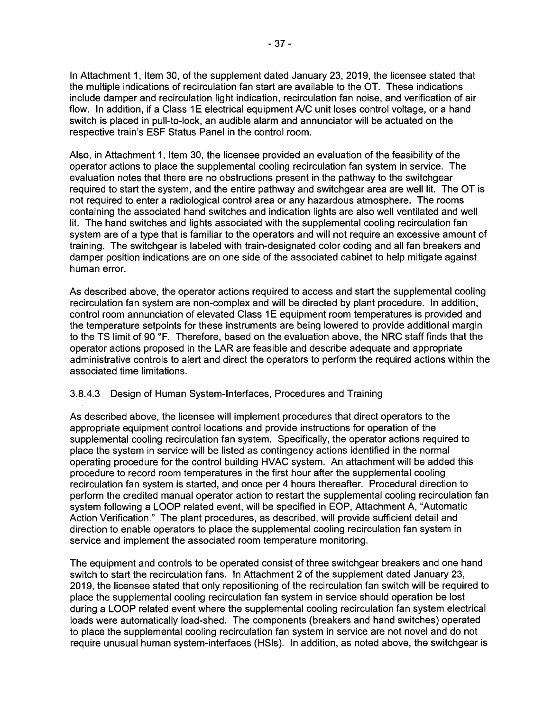In Attachment 1, Item 30, of the supplement dated January 23, 2019, the licensee stated that the multiple indications of recirculation fan start are available to the OT. These indications include damper and recirculation light indication, recirculation fan noise, and verification of air flow. In addition, if a Class 1E electrical equipment A/C unit loses control voltage, or a hand switch is placed in pull-to-lock, an audible alarm and annunciator will be actuated on the respective train's ESF Status Panel in the control room.

Also, in Attachment 1, Item 30, the licensee provided an evaluation of the feasibility of the operator actions to place the supplemental cooling recirculation fan system in service. The evaluation notes that there are no obstructions present in the pathway to the switchgear required to start the system, and the entire pathway and switchgear area are well lit. The OT is not required to enter a radiological control area or any hazardous atmosphere. The rooms containing the associated hand switches and indication lights are also well ventilated and well lit. The hand switches and lights associated with the supplemental cooling recirculation fan system are of a type that is familiar to the operators and will not require an excessive amount of training. The switchgear is labeled with train-designated color coding and all fan breakers and damper position indications are on one side of the associated cabinet to help mitigate against human error.

As described above, the operator actions required to access and start the supplemental cooling recirculation fan system are non-complex and will be directed by plant procedure. In addition, control room annunciation of elevated Class 1E equipment room temperatures is provided and the temperature setpoints for these instruments are being lowered to provide additional margin to the TS limit of 90 °F. Therefore, based on the evaluation above, the NRC staff finds that the operator actions proposed in the LAR are feasible and describe adequate and appropriate administrative controls to alert and direct the operators to perform the required actions within the associated time limitations.

## 3.8.4.3 Design of Human System-Interfaces, Procedures and Training

As described above, the licensee will implement procedures that direct operators to the appropriate equipment control locations and provide instructions for operation of the supplemental cooling recirculation fan system. Specifically, the operator actions required to place the system in service will be listed as contingency actions identified in the normal operating procedure for the control building HVAC system. An attachment will be added this procedure to record room temperatures in the first hour after the supplemental cooling recirculation fan system is started, and once per 4 hours thereafter. Procedural direction to perform the credited manual operator action to restart the supplemental cooling recirculation fan system following a LOOP related event, will be specified in EOP, Attachment A, "Automatic Action Verification." The plant procedures, as described, will provide sufficient detail and direction to enable operators to place the supplemental cooling recirculation fan system in service and implement the associated room temperature monitoring.

The equipment and controls to be operated consist of three switchgear breakers and one hand switch to start the recirculation fans. In Attachment 2 of the supplement dated January 23, 2019, the licensee stated that only repositioning of the recirculation fan switch will be required to place the supplemental cooling recirculation fan system in service should operation be lost during a LOOP related event where the supplemental cooling recirculation fan system electrical loads were automatically load-shed. The components (breakers and hand switches) operated to place the supplemental cooling recirculation fan system in service are not novel and do not require unusual human system-interfaces (HSls). In addition, as noted above, the switchgear is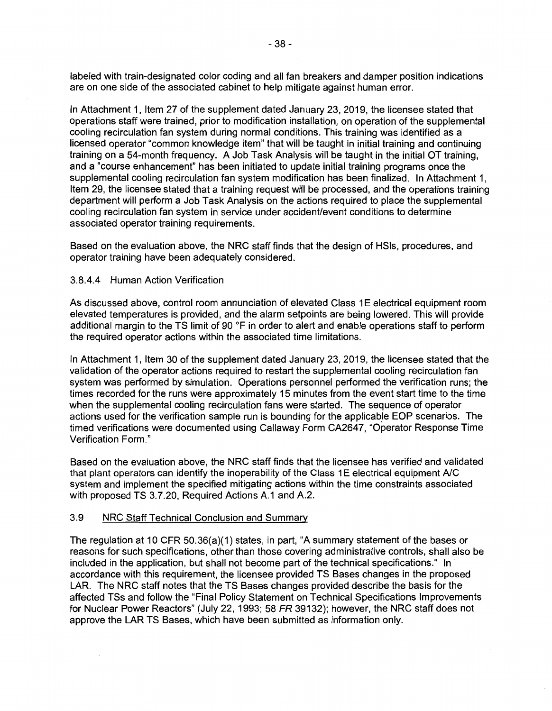labeled with train-designated color coding and all fan breakers and damper position indications are on one side of the associated cabinet to help mitigate against human error.

In Attachment 1, Item 27 of the supplement dated January 23, 2019, the licensee stated that operations staff were trained, prior to modification installation, on operation of the supplemental cooling recirculation fan system during normal conditions. This training was identified as a licensed operator "common knowledge item" that will be taught in initial training and continuing training on a 54-month frequency. A Job Task Analysis will be taught in the initial OT training, and a "course enhancement" has been initiated to update initial training programs once the supplemental cooling recirculation fan system modification has been finalized. In Attachment 1, Item 29, the licensee stated that a training request will be processed, and the operations training department will perform a Job Task Analysis on the actions required to place the supplemental cooling recirculation fan system in service under accident/event conditions to determine associated operator training requirements.

Based on the evaluation above, the NRC staff finds that the design of HSls, procedures, and operator training have been adequately considered.

#### 3.8.4.4 Human Action Verification

As discussed above, control room annunciation of elevated Class 1E electrical equipment room elevated temperatures is provided, and the alarm setpoints are being lowered. This will provide additional margin to the TS limit of 90 °F in order to alert and enable operations staff to perform the required operator actions within the associated time limitations.

In Attachment 1, Item 30 of the supplement dated January 23, 2019, the licensee stated that the validation of the operator actions required to restart the supplemental cooling recirculation fan system was performed by simulation. Operations personnel performed the verification runs; the times recorded for the runs were approximately 15 minutes from the event start time to the time when the supplemental cooling recirculation fans were started. The sequence of operator actions used for the verification sample run is bounding for the applicable EOP scenarios. The timed verifications were documented using Callaway Form CA2647, "Operator Response Time Verification Form."

Based on the evaluation above, the NRC staff finds that the licensee has verified and validated that plant operators can identify the inoperability of the Class 1E electrical equipment A/C system and implement the specified mitigating actions within the time constraints associated with proposed TS 3.7.20, Required Actions A.1 and A.2.

#### 3.9 NRC Staff Technical Conclusion and Summary

The regulation at 10 CFR 50.36(a)(1) states, in part, "A summary statement of the bases or reasons for such specifications, other than those covering administrative controls, shall also be included in the application, but shall not become part of the technical specifications." In accordance with this requirement, the licensee provided TS Bases changes in the proposed LAR. The NRC staff notes that the TS Bases changes provided describe the basis for the affected TSs and follow the "Final Policy Statement on Technical Specifications Improvements for Nuclear Power Reactors" (July 22, 1993; 58 FR 39132); however, the NRC staff does not approve the LAR TS Bases, which have been submitted as information only.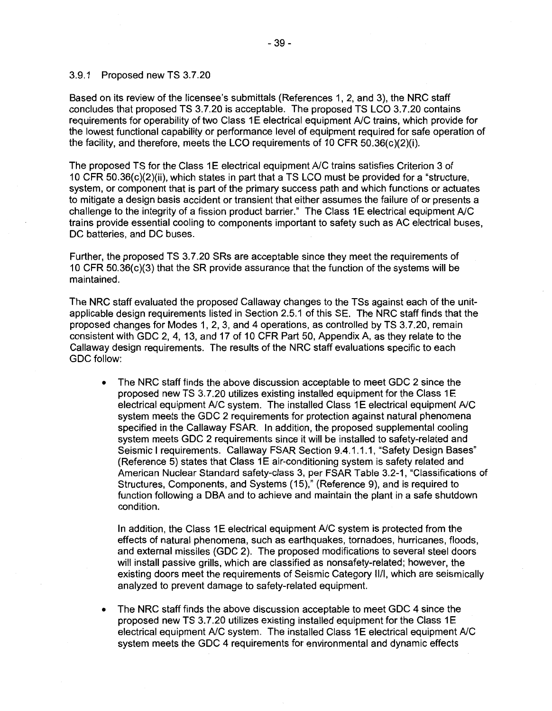#### 3.9.1 Proposed new TS 3.7.20

Based on its review of the licensee's submittals (References 1, 2, and 3), the NRC staff concludes that proposed TS 3.7.20 is acceptable. The proposed TS LCO 3.7.20 contains requirements for operability of two Class 1E electrical equipment A/C trains, which provide for the lowest functional capability or performance level of equipment required for safe operation of the facility, and therefore, meets the LCO requirements of 10 CFR 50.36(c)(2)(i).

The proposed TS for the Class 1E electrical equipment A/C trains satisfies Criterion 3 of 10 CFR 50.36(c)(2)(ii), which states in part that a TS LCO must be provided for a "structure, system, or component that is part of the primary success path and which functions or actuates to mitigate a design basis accident or transient that either assumes the failure of or presents a challenge to the integrity of a fission product barrier." The Class 1E electrical equipment A/C trains provide essential cooling to components important to safety such as AC electrical buses, DC batteries, and DC buses.

Further, the proposed TS 3.7.20 SRs are acceptable since they meet the requirements of 10 CFR 50.36(c)(3) that the SR provide assurance that the function of the systems will be maintained.

The NRC staff evaluated the proposed Callaway changes to the TSs against each of the unitapplicable design requirements listed in Section 2.5.1 of this SE. The NRC staff finds that the proposed changes for Modes 1, 2, 3, and 4 operations, as controlled by TS 3.7.20, remain consistent with GDC 2, 4, 13, and 17 of 10 CFR Part 50, Appendix A, as they relate to the Callaway design requirements. The results of the NRC staff evaluations specific to each GDC follow:

• The NRC staff finds the above discussion acceptable to meet GDC 2 since the proposed new TS 3.7.20 utilizes existing installed equipment for the Class 1E electrical equipment A/C system. The installed Class 1E electrical equipment A/C system meets the GDC 2 requirements for protection against natural phenomena specified in the Callaway FSAR. In addition, the proposed supplemental cooling system meets GDC 2 requirements since it will be installed to safety-related and Seismic I requirements. Callaway FSAR Section 9.4.1.1.1, "Safety Design Bases" (Reference 5) states that Class 1E air-conditioning system is safety related and American Nuclear Standard safety-class 3, per FSAR Table 3.2-1, "Classifications of Structures, Components, and Systems (15)," (Reference 9), and is required to function following a OBA and to achieve and maintain the plant in a safe shutdown condition.

In addition, the Class 1E electrical equipment A/C system is protected from the effects of natural phenomena, such as earthquakes, tornadoes, hurricanes, floods, and external missiles (GDC 2). The proposed modifications to several steel doors will install passive grills, which are classified as nonsafety-related; however, the existing doors meet the requirements of Seismic Category 11/1, which are seismically analyzed to prevent damage to safety-related equipment.

• The NRC staff finds the above discussion acceptable to meet GDC 4 since the proposed new TS 3.7.20 utilizes existing installed equipment for the Class 1 E electrical equipment A/C system. The installed Class 1E electrical equipment A/C system meets the GDC 4 requirements for environmental and dynamic effects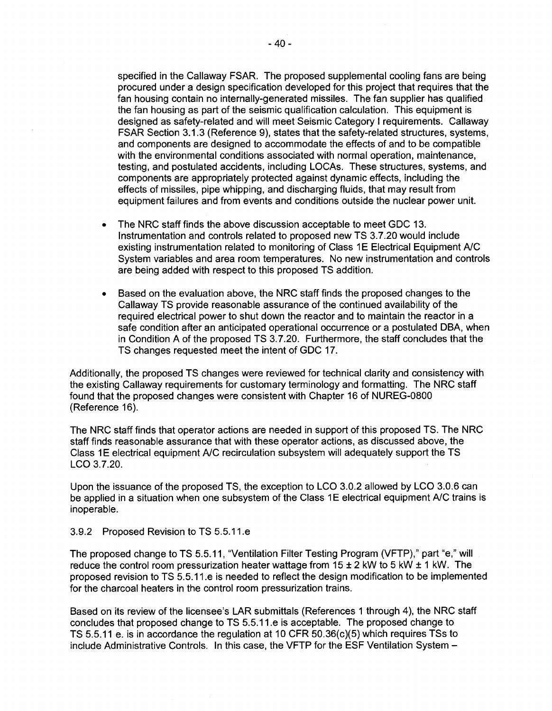specified in the Callaway FSAR. The proposed supplemental cooling fans are being procured under a design specification developed for this project that requires that the fan housing contain no internally-generated missiles. The fan supplier has qualified the fan housing as part of the seismic qualification calculation. This equipment is designed as safety-related and will meet Seismic Category I requirements. Callaway FSAR Section 3.1.3 (Reference 9), states that the safety-related structures, systems, and components are designed to accommodate the effects of and to be compatible with the environmental conditions associated with normal operation, maintenance, testing, and postulated accidents, including LOCAs. These structures, systems, and components are appropriately protected against dynamic effects, including the effects of missiles, pipe whipping, and discharging fluids, that may result from equipment failures and from events and conditions outside the nuclear power unit.

- The NRC staff finds the above discussion acceptable to meet GDC 13. Instrumentation and controls related to proposed new TS 3.7.20 would include existing instrumentation related to monitoring of Class 1E Electrical Equipment A/C System variables and area room temperatures. No new instrumentation and controls are being added with respect to this proposed TS addition.
- Based on the evaluation above, the NRC staff finds the proposed changes to the Callaway TS provide reasonable assurance of the continued availability of the required electrical power to shut down the reactor and to maintain the reactor in a safe condition after an anticipated operational occurrence or a postulated DBA, when in Condition A of the proposed TS 3. 7.20. Furthermore, the staff concludes that the TS changes requested meet the intent of GDC 17.

Additionally, the proposed TS changes were reviewed for technical clarity and consistency with the existing Callaway requirements for customary terminology and formatting. The NRC staff found that the proposed changes were consistent with Chapter 16 of NUREG-0800 (Reference 16).

The NRC staff finds that operator actions are needed in support of this proposed TS. The NRC staff finds reasonable assurance that with these operator actions, as discussed above, the Class 1 E electrical equipment A/C recirculation subsystem will adequately support the TS LCO 3.7.20.

Upon the issuance of the proposed TS, the exception to LCO 3.0.2 allowed by LCO 3.0.6 can be applied in a situation when one subsystem of the Class 1E electrical equipment A/C trains is inoperable.

#### 3.9.2 Proposed Revision to TS 5.5.11.e

The proposed change to TS 5.5.11, "Ventilation Filter Testing Program (VFTP)," part "e," will reduce the control room pressurization heater wattage from  $15 \pm 2$  kW to 5 kW  $\pm$  1 kW. The proposed revision to TS 5.5.11.e is needed to reflect the design modification to be implemented for the charcoal heaters in the control room pressurization trains.

Based on its review of the licensee's LAR submittals (References 1 through 4), the NRC staff concludes that proposed change to TS 5.5.11.e is acceptable. The proposed change to TS 5.5.11 e. is in accordance the regulation at 10 CFR 50.36(c)(5) which requires TSs to include Administrative Controls. In this case, the VFTP for the ESF Ventilation System -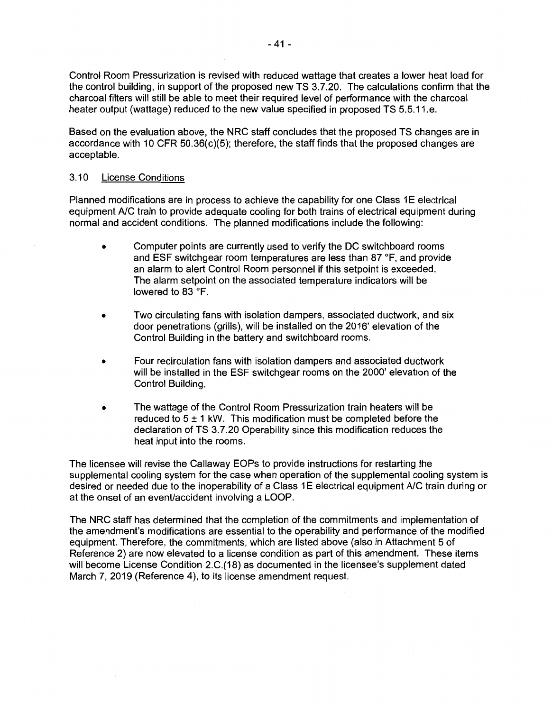Control Room Pressurization is revised with reduced wattage that creates a lower heat load for the control building, in support of the proposed new TS 3.7.20. The calculations confirm that the charcoal filters will still be able to meet their required level of performance with the charcoal heater output (wattage) reduced to the new value specified in proposed TS 5.5.11.e.

Based on the evaluation above, the NRC staff concludes that the proposed TS changes are in accordance with 10 CFR  $50.36(c)(5)$ ; therefore, the staff finds that the proposed changes are acceptable.

#### 3.10 License Conditions

Planned modifications are in process to achieve the capability for one Class 1E electrical equipment A/C train to provide adequate cooling for both trains of electrical equipment during normal and accident conditions. The planned modifications include the following:

- Computer points are currently used to verify the DC switchboard rooms and ESF switchgear room temperatures are less than 87 °F, and provide an alarm to alert Control Room personnel if this setpoint is exceeded. The alarm setpoint on the associated temperature indicators will be lowered to 83 °F.
- Two circulating fans with isolation dampers, associated ductwork, and six door penetrations (grills), will be installed on the 2016' elevation of the Control Building in the battery and switchboard rooms.
- Four recirculation fans with isolation dampers and associated ductwork will be installed in the ESF switchgear rooms on the 2000' elevation of the Control Building.
- The wattage of the Control Room Pressurization train heaters will be reduced to  $5 \pm 1$  kW. This modification must be completed before the declaration of TS 3.7.20 Operability since this modification reduces the heat input into the rooms.

The licensee will revise the Callaway EOPs to provide instructions for restarting the supplemental cooling system for the case when operation of the supplemental cooling system is desired or needed due to the inoperability of a Class 1E electrical equipment A/C train during or at the onset of an event/accident involving a LOOP.

The NRC staff has determined that the completion of the commitments and implementation of the amendment's modifications are essential to the operability and performance of the modified equipment. Therefore, the commitments, which are listed above (also in Attachment 5 of Reference 2) are now elevated to a license condition as part of this amendment. These items will become License Condition 2.C.(18) as documented in the licensee's supplement dated March 7, 2019 (Reference 4), to its license amendment request.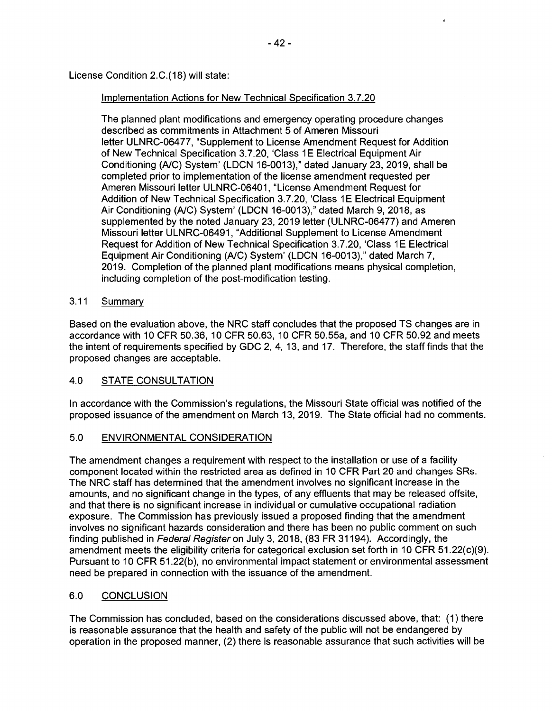License Condition 2.C.(18) will state:

## Implementation Actions for New Technical Specification 3.7.20

The planned plant modifications and emergency operating procedure changes described as commitments in Attachment 5 of Ameren Missouri letter ULNRC-06477, "Supplement to License Amendment Request for Addition of New Technical Specification 3.7.20, 'Class 1E Electrical Equipment Air Conditioning (A/C) System' (LDCN 16-0013)," dated January 23, 2019, shall be completed prior to implementation of the license amendment requested per Ameren Missouri letter ULNRC-06401, "License Amendment Request for Addition of New Technical Specification 3.7.20, 'Class 1E Electrical Equipment Air Conditioning (A/C) System' (LDCN 16-0013)," dated March 9, 2018, as supplemented by the noted January 23, 2019 letter (ULNRC-06477) and Ameren Missouri letter ULNRC-06491, "Additional Supplement to License Amendment Request for Addition of New Technical Specification 3.7.20, 'Class 1 E Electrical Equipment Air Conditioning (A/C) System' (LDCN 16-0013)," dated March 7, 2019. Completion of the planned plant modifications means physical completion, including completion of the post-modification testing.

# 3.11 Summary

Based on the evaluation above, the NRC staff concludes that the proposed TS changes are in accordance with 10 CFR 50.36, 10 CFR 50.63, 10 CFR 50.55a, and 10 CFR 50.92 and meets the intent of requirements specified by GDC 2, 4, 13, and 17. Therefore, the staff finds that the proposed changes are acceptable.

# 4.0 STATE CONSULTATION

In accordance with the Commission's regulations, the Missouri State official was notified of the proposed issuance of the amendment on March 13, 2019. The State official had no comments.

# 5.0 ENVIRONMENTAL CONSIDERATION

The amendment changes a requirement with respect to the installation or use of a facility component located within the restricted area as defined in 10 CFR Part 20 and changes SRs. The NRC staff has determined that the amendment involves no significant increase in the amounts, and no significant change in the types, of any effluents that may be released offsite, and that there is no significant increase in individual or cumulative occupational radiation exposure. The Commission has previously issued a proposed finding that the amendment involves no significant hazards consideration and there has been no public comment on such finding published in Federal Register on July 3, 2018, (83 FR 31194). Accordingly, the amendment meets the eligibility criteria for categorical exclusion set forth in 10 CFR 51.22(c)(9). Pursuant to 10 CFR 51.22(b), no environmental impact statement or environmental assessment need be prepared in connection with the issuance of the amendment.

# 6.0 CONCLUSION

The Commission has concluded, based on the considerations discussed above, that: (1) there is reasonable assurance that the health and safety of the public will not be endangered by operation in the proposed manner, (2) there is reasonable assurance that such activities will be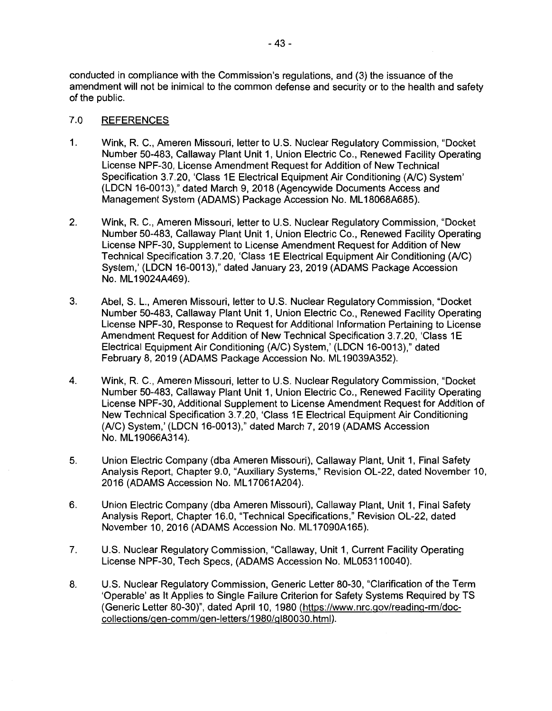conducted in compliance with the Commission's regulations, and (3) the issuance of the amendment will not be inimical to the common defense and security or to the health and safety of the public.

## 7.0 REFERENCES

- 1. Wink, R. C., Ameren Missouri, letter to U.S. Nuclear Regulatory Commission, "Docket Number 50-483, Callaway Plant Unit 1, Union Electric Co., Renewed Facility Operating License NPF-30, License Amendment Request for Addition of New Technical Specification 3.7.20, 'Class 1E Electrical Equipment Air Conditioning (A/C) System' (LDCN 16-0013)," dated March 9, 2018 (Agencywide Documents Access and Management System (ADAMS) Package Accession No. ML 18068A685).
- 2. Wink, R. C., Ameren Missouri, letter to U.S. Nuclear Regulatory Commission, "Docket Number 50-483, Callaway Plant Unit 1, Union Electric Co., Renewed Facility Operating License NPF-30, Supplement to License Amendment Request for Addition of New Technical Specification 3. 7 .20, 'Class 1 E Electrical Equipment Air Conditioning (A/C) System,' (LDCN 16-0013)," dated January 23, 2019 (ADAMS Package Accession No. ML 19024A469).
- 3. Abel, S. L., Ameren Missouri, letter to U.S. Nuclear Regulatory Commission, "Docket Number 50-483, Callaway Plant Unit 1, Union Electric Co., Renewed Facility Operating License NPF-30, Response to Request for Additional Information Pertaining to License Amendment Request for Addition of New Technical Specification 3.7.20, 'Class 1E Electrical Equipment Air Conditioning (A/C) System,' (LDCN 16-0013)," dated February 8, 2019 (ADAMS Package Accession No. ML19039A352).
- 4. Wink, R. C., Ameren Missouri, letter to U.S. Nuclear Regulatory Commission, "Docket Number 50-483, Callaway Plant Unit 1, Union Electric Co., Renewed Facility Operating License NPF-30, Additional Supplement to License Amendment Request for Addition of New Technical Specification 3.7.20, 'Class 1E Electrical Equipment Air Conditioning (A/C) System,' (LDCN 16-0013)," dated March 7, 2019 (ADAMS Accession No. ML 19066A314).
- 5. Union Electric Company {dba Ameren Missouri), Callaway Plant, Unit 1, Final Safety Analysis Report, Chapter 9.0, "Auxiliary Systems," Revision OL-22, dated November 10, 2016 (ADAMS Accession No. ML 17061A204).
- 6. Union Electric Company (dba Ameren Missouri), Callaway Plant, Unit 1, Final Safety Analysis Report, Chapter 16.0, "Technical Specifications," Revision OL-22, dated November 10, 2016 (ADAMS Accession No. ML 17090A165).
- 7. U.S. Nuclear Regulatory Commission, "Callaway, Unit 1, Current Facility Operating License NPF-30, Tech Specs, (ADAMS Accession No. ML053110040).
- 8. U.S. Nuclear Regulatory Commission, Generic Letter 80-30, "Clarification of the Term 'Operable' as It Applies to Single Failure Criterion for Safety Systems Required by TS (Generic Letter 80-30)", dated April 10, 1980 {https://www.nrc.gov/reading-rm/doccollections/gen-comm/gen-letters/1980/gl80030.html).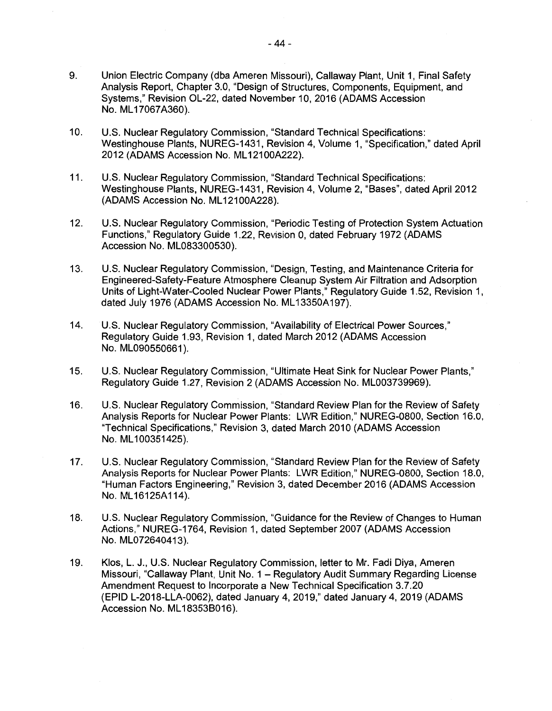- 9. Union Electric Company (dba Ameren Missouri), Callaway Plant, Unit 1, Final Safety Analysis Report, Chapter 3.0, "Design of Structures, Components, Equipment, and Systems," Revision OL-22, dated November 10, 2016 (ADAMS Accession No. ML 17067A360).
- 10. U.S. Nuclear Regulatory Commission, "Standard Technical Specifications: Westinghouse Plants, NUREG-1431, Revision 4, Volume 1, "Specification," dated April 2012 (ADAMS Accession No. ML 12100A222).
- 11. U.S. Nuclear Regulatory Commission, "Standard Technical Specifications: Westinghouse Plants, NUREG-1431, Revision 4, Volume 2, "Bases", dated April 2012 (ADAMS Accession No. ML 12100A228).
- 12. U.S. Nuclear Regulatory Commission, "Periodic Testing of Protection System Actuation Functions," Regulatory Guide 1.22, Revision 0, dated February 1972 (ADAMS Accession No. ML083300530).
- 13. U.S. Nuclear Regulatory Commission, "Design, Testing, and Maintenance Criteria for Engineered-Safety-Feature Atmosphere Cleanup System Air Filtration and Adsorption Units of Light-Water-Cooled Nuclear Power Plants," Regulatory Guide 1.52, Revision 1, dated July 1976 (ADAMS Accession No. ML13350A197).
- 14. U.S. Nuclear Regulatory Commission, "Availability of Electrical Power Sources," Regulatory Guide 1.93, Revision 1, dated March 2012 (ADAMS Accession No. ML090550661 ).
- 15. U.S. Nuclear Regulatory Commission, "Ultimate Heat Sink for Nuclear Power Plants," Regulatory Guide 1.27, Revision 2 (ADAMS Accession No. ML003739969).
- 16. U.S. Nuclear Regulatory Commission, "Standard Review Plan for the Review of Safety Analysis Reports for Nuclear Power Plants: LWR Edition," NUREG-0800, Section 16.0, "Technical Specifications," Revision 3, dated March 2010 (ADAMS Accession No. ML 100351425).
- 17. U.S. Nuclear Regulatory Commission, "Standard Review Plan for the Review of Safety Analysis Reports for Nuclear Power Plants: LWR Edition," NUREG-0800, Section 18.0, "Human Factors Engineering," Revision 3, dated December 2016 (ADAMS Accession No. ML 16125A114).
- 18. U.S. Nuclear Regulatory Commission, "Guidance for the Review of Changes to Human Actions," NUREG-1764, Revision 1, dated September 2007 (ADAMS Accession No. ML072640413).
- 19. Klos, L. J., U.S. Nuclear Regulatory Commission, letter to Mr. Fadi Diya, Ameren Missouri, "Callaway Plant, Unit No. 1 - Regulatory Audit Summary Regarding License Amendment Request to Incorporate a New Technical Specification 3.7.20 (EPID L-2018-LLA-0062), dated January 4, 2019," dated January 4, 2019 (ADAMS Accession No. ML 183538016).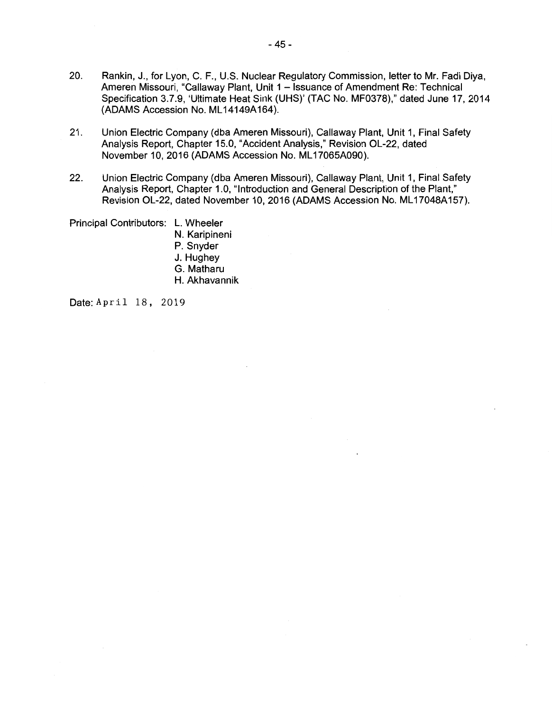- 20. Rankin, J., for Lyon, C. F., U.S. Nuclear Regulatory Commission, letter to Mr. Fadi Diya, Ameren Missouri, "Callaway Plant, Unit 1 - Issuance of Amendment Re: Technical Specification 3.7.9, 'Ultimate Heat Sink (UHS)' (TAC No. MF0378)," dated June 17, 2014 (ADAMS Accession No. ML 14149A164).
- 21. Union Electric Company (dba Ameren Missouri), Callaway Plant, Unit 1, Final Safety Analysis Report, Chapter 15.0, "Accident Analysis," Revision OL-22, dated November 10, 2016 (ADAMS Accession No. ML 17065A090).
- 22. Union Electric Company (dba Ameren Missouri), Callaway Plant, Unit 1, Final Safety Analysis Report, Chapter 1.0, "Introduction and General Description of the Plant," Revision OL-22, dated November 10, 2016 (ADAMS Accession No. ML17048A157).

Principal Contributors: L. Wheeler N. Karipineni P. Snyder J. Hughey G. Matharu H. Akhavannik

Date: April 18, 2019